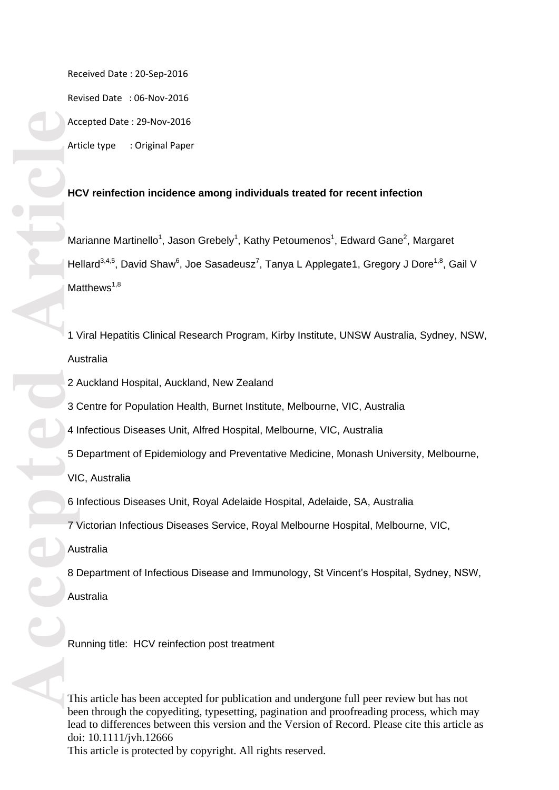Received Date : 20 -Sep -2016

Revised Date : 06 -Nov -2016 Accepted Date : 29 -Nov -2016

Article type : Original Paper

# **HCV reinfection incidence among individuals treated for recent infection**

Marianne Martinello<sup>1</sup>, Jason Grebely<sup>1</sup>, Kathy Petoumenos<sup>1</sup>, Edward Gane<sup>2</sup>, Margaret Hellard<sup>3,4,5</sup>, David Shaw<sup>6</sup>, Joe Sasadeusz<sup>7</sup>, Tanya L Applegate1, Gregory J Dore<sup>1,8</sup>, Gail V Matthews $1,8$ 

1 Viral Hepatitis Clinical Research Program, Kirby Institute, UNSW Australia, Sydney, NSW, Australia

- 2 Auckland Hospital, Auckland, New Zealand
- 3 Centre for Population Health, Burnet Institute, Melbourne, VIC, Australia
- 4 Infectious Diseases Unit, Alfred Hospital, Melbourne, VIC, Australia
- 5 Department of Epidemiology and Preventative Medicine, Monash University, Melbourne,
- VIC, Australia
- 6 Infectious Diseases Unit, Royal Adelaide Hospital, Adelaide, SA, Australia
- 7 Victorian Infectious Diseases Service, Royal Melbourne Hospital, Melbourne, VIC,
- Australia
- 8 Department of Infectious Disease and Immunology, St Vincent's Hospital, Sydney, NSW,
- Australia

Running title: HCV reinfection post treatment

This article has been accepted for publication and undergone full peer review but has not been through the copyediting, typesetting, pagination and proofreading process, which may lead to differences between this version and the Version of Record. Please cite this article as doi: 10.1111/jvh.12666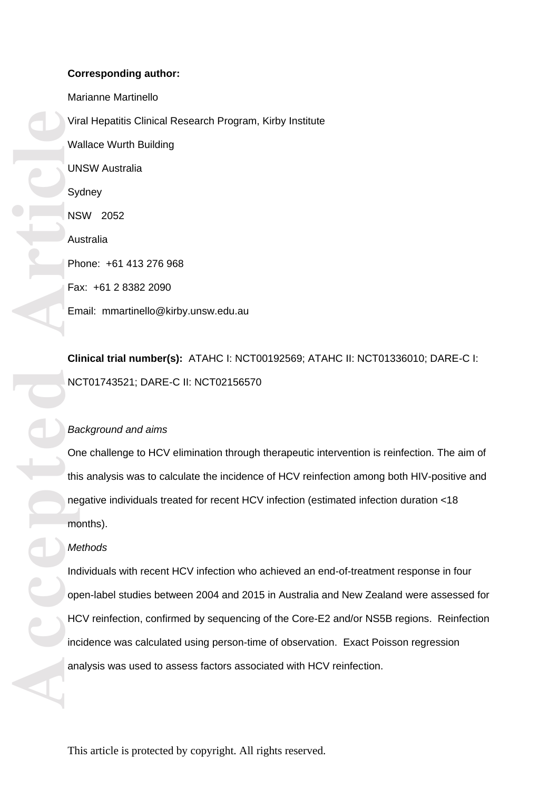# **Corresponding author:**

Vir W<sub>i</sub><br>
Sy NS Au<br>
Article<br>
Article<br>
Article<br>
Article<br>
Article<br>
Article<br>
Article<br>
Article<br>
Article<br>
Article<br>
Article<br>
Article<br>
Article<br>
Article<br>
Article<br>
Article<br>
Article<br>
Article<br>
Article<br>
Article<br>
Article<br>
Article<br>
Arti Marianne Martinello Viral Hepatitis Clinical Research Program, Kirby Institute Wallace Wurth Building UNSW Australia **Sydney** NSW 2052 Australia Phone: +61 413 276 968 Fax: +61 2 8382 2090 Email: mmartinello@kirby.unsw.edu.au

**Clinical trial number(s):** ATAHC I: NCT00192569; ATAHC II: NCT01336010; DARE -C I: NCT01743521; DARE -C II: NCT02156570

# *Background and aims*

One challenge to HCV elimination through therapeutic intervention is reinfection. The aim of this analysis was to calculate the incidence of HCV reinfection among both HIV -positive and negative individuals treated for recent HCV infection (estimated infection duration <18 months).

### *Methods*

Individuals with recent HCV infection who achieved an end -of -treatment response in four open -label studies between 2004 and 2015 in Australia and New Zealand were assessed for HCV reinfection, confirmed by sequencing of the Core -E2 and/or NS5B regions. Reinfection incidence was calculated using person -time of observation. Exact Poisson regression analysis was used to assess factors associated with HCV reinfection.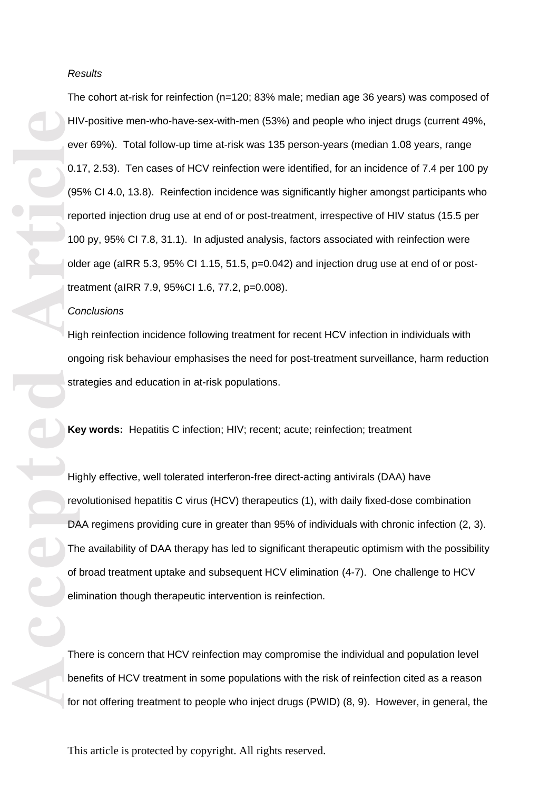#### *Results*

Form of the particle of the particle of the particle of the particle of the particle of the particle of the particle of the particle of the particle of the particle of the particle of the particle of the particle of the pa The cohort at -risk for reinfection (n=120; 83% male; median age 36 years) was composed of HIV-positive men-who-have-sex-with-men (53%) and people who inject drugs (current 49%, ever 69%). Total follow-up time at-risk was 135 person-years (median 1.08 years, range 0.17, 2.53). Ten cases of HCV reinfection were identified, for an incidence of 7.4 per 100 py (95% CI 4.0, 13.8). Reinfection incidence was significantly higher amongst participants who reported injection drug use at end of or post -treatment, irrespective of HIV status (15.5 per 100 py, 95% CI 7.8, 31.1). In adjusted analysis, factors associated with reinfection were older age (aIRR 5.3, 95% CI 1.15, 51.5, p=0.042) and injection drug use at end of or posttreatment (aIRR 7.9, 95%CI 1. 6, 77.2, p=0.008).

#### *Conclusion s*

High reinfection incidence following treatment for recent HCV infection in individuals with ongoing risk behaviour emphasises the need for post -treatment surveillance, harm reduction strategies and education in at -risk populations.

**Key words:** Hepatitis C infection; HIV; recent; acute; reinfection; treatment

Highly effective, well tolerated interferon-free direct-acting antivirals (DAA) have revolutionised hepatitis C virus (HCV) therapeutics (1), with daily fixed -dose combination DAA regimens providing cure in greater than 95% of individuals with chronic infection (2, 3) . The availability of DAA therapy has led to significant therapeutic optimism with the possibility of broad treatment uptake and subsequent HCV elimination (4 -7). One challenge to HCV elimination though therapeutic intervention is reinfection.

There is concern that HCV reinfection may compromise the individual and population level benefits of HCV treatment in some populations with the risk of reinfection cited as a reason for not offering treatment to people who inject drugs (PWID) (8, 9). However, in general, the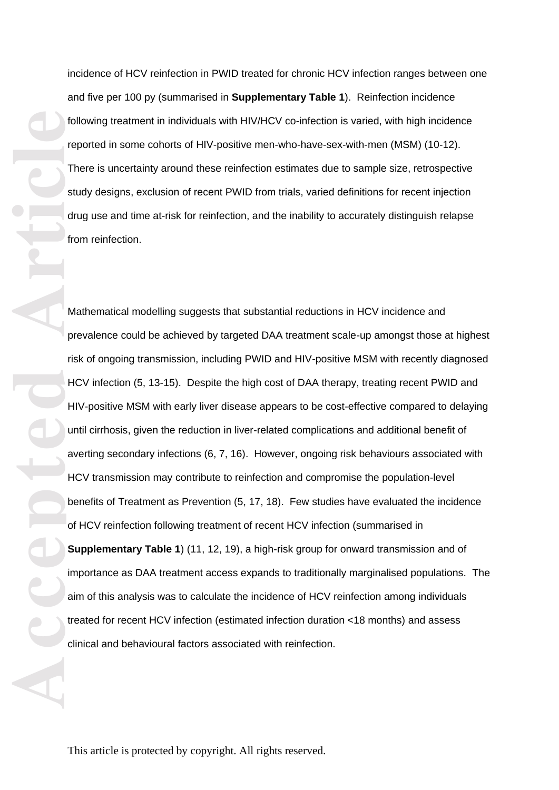incidence of HCV reinfection in PWID treated for chronic HCV infection ranges between one and five per 100 py (summarised in **Supplementary Table 1**). Reinfection incidence following treatment in individuals with HIV/HCV co -infection is varied, with high incidence reported in some cohorts of HIV-positive men-who-have-sex-with-men (MSM) (10-12). There is uncertainty around these reinfection estimates due to sample size, retrospective study designs, exclusion of recent PWID from trials, varied definitions for recent injection drug use and time at-risk for reinfection, and the inability to accurately distinguish relapse from reinfection.

Form of the contract of the contract of the contract of the contract of the contract of the contract of the contract of the contract of the contract of the contract of the contract of the contract of the contract of the co Mathematical modelling suggests that substantial reductions in HCV incidence and prevalence could be achieved by targeted DAA treatment scale -up amongst those at highest risk of ongoing transmission, including PWID and HIV -positive MSM with recently diagnosed HCV infection (5, 13 -15). Despite the high cost of DAA therapy, treating recent PWID and HIV -positive MSM with early liver disease appears to be cost -effective compared to delaying until cirrhosis, given the reduction in liver -related complications and additional benefit of averting secondary infections (6, 7, 16). However, ongoing risk behaviours associated with HCV transmission may contribute to reinfection and compromise the population -level benefits of Treatment as Prevention (5, 17, 18). Few studies have evaluated the incidence of HCV reinfection following treatment of recent HCV infection (summarised in **Supplementary Table 1**) (11, 12, 19), a high-risk group for onward transmission and of importance as DAA treatment access expands to traditionally marginalised populations. The aim of this analysis was to calculate the incidence of HCV reinfection among individuals treated for recent HCV infection (estimated infection duration <18 months) and assess clinical and behavioural factors associated with reinfection.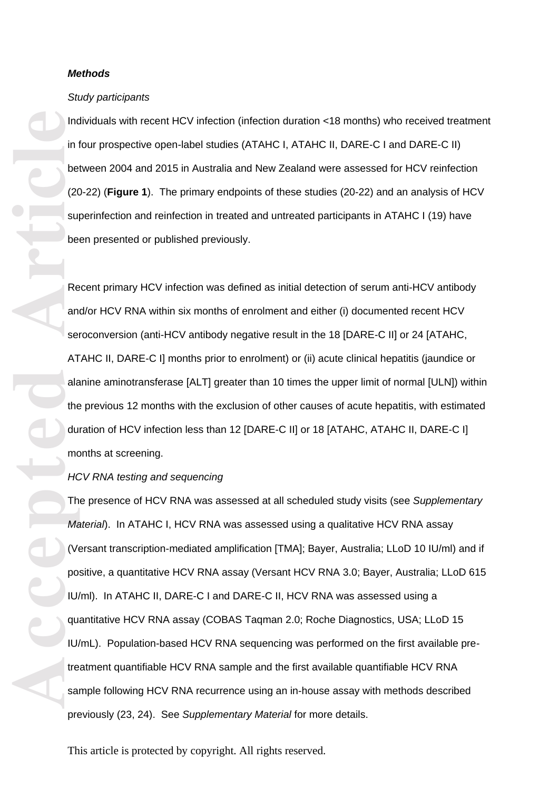### *Methods*

#### *Study participants*

Individuals with recent HCV infection (infection duration <18 months) who received treatment in four prospective open-label studies (ATAHC I, ATAHC II, DARE-C I and DARE-C II) between 2004 and 2015 in Australia and New Zealand were assessed for HCV reinfection (20 -22) (**Figure 1**). The primary endpoints of these studies (20 -22) and an analysis of HCV superinfection and reinfection in treated and untreated participants in ATAHC I (19) have been presented or published previously.

Recent primary HCV infection was defined as initial detection of serum anti -HCV antibody and/or HCV RNA within six months of enrolment and either (i) documented recent HCV seroconversion (anti-HCV antibody negative result in the 18 [DARE-C II] or 24 [ATAHC, ATAHC II, DARE -C I] months prior to enrolment) or (ii) acute clinical hepatitis (jaundice or alanine aminotransferase [ALT] greater than 10 times the upper limit of normal [ULN]) within the previous 12 months with the exclusion of other causes of acute hepatitis, with estimated duration of HCV infection less than 12 [DARE-C II] or 18 [ATAHC, ATAHC II, DARE-C I] months at screening.

### *HCV RNA testing and sequencing*

Accepted Manufacture Sales Article<br>
Article<br>
Article<br>
Article<br>
Article<br>
Article<br>
Article<br>
Article<br>
Article<br>
Article<br>
Article<br>
Article<br>
Article<br>
Article<br>
Article<br>
Article<br>
Article<br>
Article<br>
Article<br>
Article<br>
Article<br>
Articl The presence of HCV RNA was assessed at all scheduled study visits (see *Supplementary Material*). In ATAHC I, HCV RNA was assessed using a qualitative HCV RNA assay (Versant transcription -mediated amplification [TMA]; Bayer, Australia; LLoD 10 IU/ml) and if positive, a quantitative HCV RNA assay (Versant HCV RNA 3.0; Bayer, Australia; LLoD 615 IU/ml). In ATAHC II, DARE-C I and DARE-C II, HCV RNA was assessed using a quantitative HCV RNA assay (COBAS Taqman 2.0; Roche Diagnostics, USA; LLoD 15 IU/mL). Population-based HCV RNA sequencing was performed on the first available pretreatment quantifiable HCV RNA sample and the first available quantifiable HCV RNA sample following HCV RNA recurrence using an in -house assay with methods described previously (23, 24). See *Supplementary Material* for more details.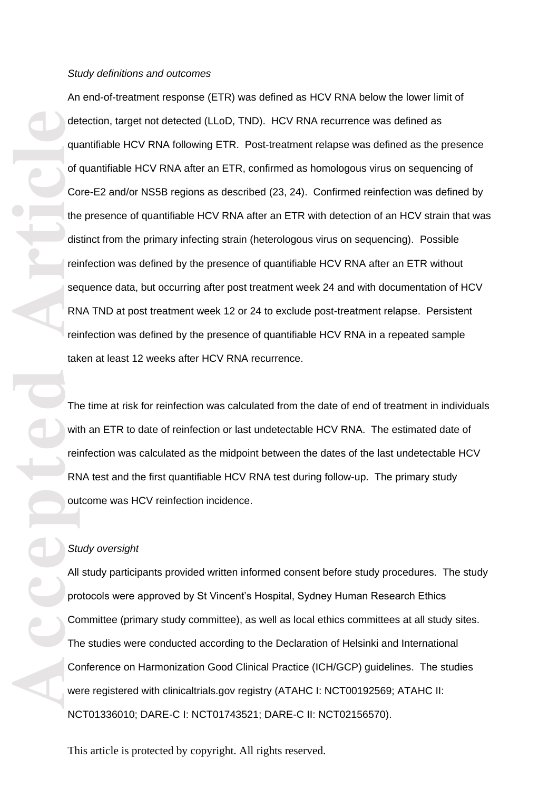**Accepted Article**<br> **Article**<br> **Article**<br> **Article**<br> **Article**<br> **Article**<br> **Article**<br> **Article**<br> **Article**<br> **Article**<br> **Article**<br> **Article**<br> **Article**<br> **Article**<br> **Article**<br> **Article**<br> **Article**<br> **Article**<br> **Article**<br> **A** An end -of -treatment response (ETR) was defined as HCV RNA below the lower limit of detection, target not detected (LLo D , TND). HCV RNA recurrence was defined as quantifiable HCV RNA following ETR. Post -treatment relapse was defined as the presence of quantifiable HCV RNA after an ETR, confirmed as homologous virus on sequencing of Core -E2 and/or NS5B regions as described (23, 24). Confirmed reinfection was defined by the presence of quantifiable HCV RNA after an ETR with detection of an HCV strain that was distinct from the primary infecting strain (heterologous virus on sequencing). Possible reinfection was defined by the presence of quantifiable HCV RNA after an ETR without sequence data, but occurring after post treatment week 24 and with documentation of HCV RNA TND at post treatment week 12 or 24 to exclude post -treatment relapse . Persistent reinfection was defined by the presence of quantifiable HCV RNA in a repeated sample taken at least 12 weeks after HCV RNA recurrence.<br>The time at risk for reinfection was calculated from the date of end of treatment in individuals

with an ETR to date of reinfection or last undetectable HCV RNA. The estimated date of reinfection was calculated as the midpoint between the dates of the last undetectable HCV RNA test and the first quantifiable HCV RNA test during follow -up. The primary study outcome was HCV reinfection incidence.

### *Study oversight*

All study participants provided written informed consent before study procedures. The study protocols were approved by St Vincent's Hospital, Sydney Human Research Ethics Committee (primary study committee), as well as local ethics committees at all study sites. The studies were conducted according to the Declaration of Helsinki and International Conference on Harmonization Good Clinical Practice (ICH/GCP) guidelines. The studies were registered with clinicaltrials.gov registry (ATAHC I: NCT00192569; ATAHC II: NCT01336010; DARE -C I: NCT01743521; DARE -C II: NCT02156570).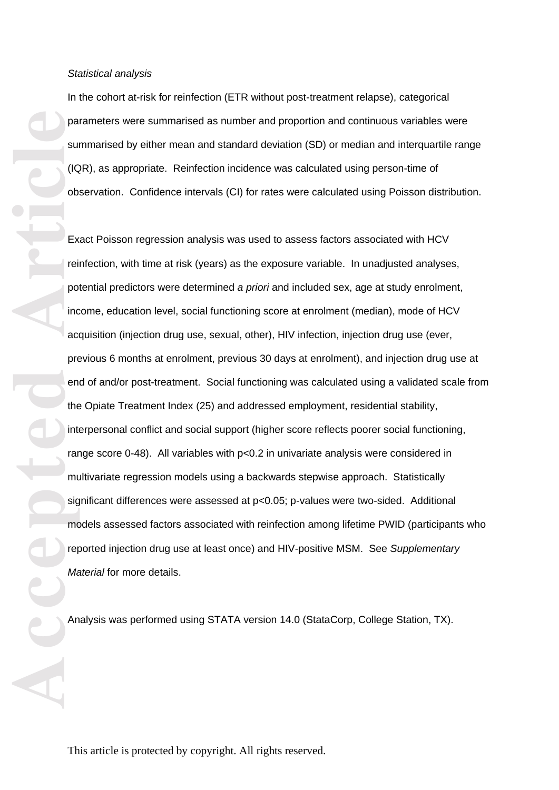In the cohort at -risk for reinfection (ETR without post -treatment relapse), categorical parameters were summarised as number and proportion and continuous variables were summarised by either mean and standard deviation (SD) or median and interquartile range (IQR), as appropriate. Reinfection incidence was calculated using person -time of observation . Confidence intervals (CI) for rates were calculated using Poisson distribution.

**Pa**<br> **Accepted**<br> **Article**<br> **Article**<br> **Article**<br> **Article**<br> **Article**<br> **Article**<br> **Article** Exact Poisson regression analysis was used to assess factors associated with HCV reinfection, with time at risk (years) as the exposure variable. In unadjusted analyses, potential predictors were determined *a priori* and include d sex, age at study enrolment, income, education level, social functioning score at enrolment (median), mode of HCV acquisition (injection drug use, sexual, other), HIV infection, injection drug use (ever, previous 6 months at enrolment, previous 30 days at enrolment), and injection drug use at end of and/or post -treatment. Social functioning was calculated using a validated scale from the Opiate Treatment Index (25) and addresse d employment, residential stability, interpersonal conflict and social support (higher score reflects poorer social functioning, range score 0 -48). All variables with p<0.2 in univariate analysis were considered in multivariate regression models using a backwards stepwise approach. Statistically significant differences were assessed at p<0.05; p -values were two -sided. Additional models assessed factors associated with reinfection among lifetime PWID (participants who reported injection drug use at least once) and HIV -positive MSM. See *Supplementary Material* for more details.

Analysis was performed using STATA version 14.0 (StataCorp, College Station, TX).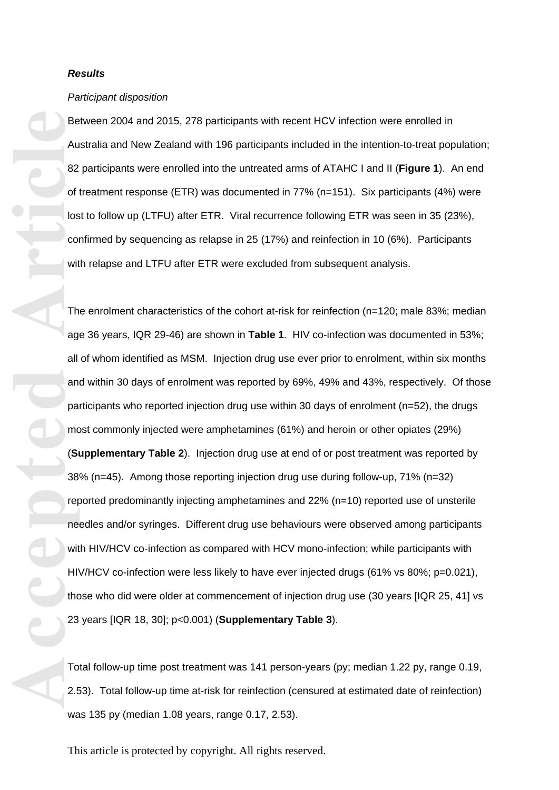### *Results*

#### *Participant disposition*

Between 2004 and 2015, 278 participants with recent HCV infection were enrolled in Australia and New Zealand with 196 participants included in the intention -to -treat population; 82 participants were enrolled into the untreated arms of ATAHC I and II (**Figure 1** ). An end of treatment response (ETR) was documented in 77% (n=151 ). Six participants (4%) were lost to follow up (LTFU) after ETR. Viral recurrence following ETR was seen in 35 (23%), confirmed by sequencing as relapse in 25 (17%) and reinfection in 10 (6% ). Participants with relapse and LTFU after ETR were excluded from subsequent analysis.

Be Au 82<br>
of los co with The age all an pa me sit les 38<br>
of los co with The age all an pa me sit les 38<br>
of so with The age all an pa me sit les 23<br>
of los co with The age all an pa me sit les 23<br>
of los co with The age a The enrolment characteristics of the cohort at-risk for reinfection (n=120; male 83%; median age 36 years, IQR 29-46) are shown in Table 1. HIV co-infection was documented in 53%; all of whom identified as MSM. Injection drug use ever prior to enrolment, within six months and within 30 days of enrolment was reported by 69% , 49% and 43%, respectively. Of those participants who reported injection drug use within 30 days of enrolment (n=5 2), the drugs most commonly injected were amphetamines (61%) and heroin or other opiates (29%) (**Supplementary Table 2**). Injection drug use at end of or post treatment was reported by 38% (n=45). Among those reporting injection drug use during follow -up, 71% (n=32) reported predominantly injecting amphetamines and 22% (n=10) reported use of unsterile needles and/or syringes. Different drug use behaviours were observed among participants with HIV/HCV co-infection as compared with HCV mono-infection; while participants with HIV/HCV co-infection were less likely to have ever injected drugs (61% vs 80%; p=0.021), those who did were older at commencement of injection drug use (30 years [IQR 25, 41] vs 23 years [IQR 18, 30]; p<0.001 ) (**Supplementary Table 3**).

Total follow -up time post treatment was 141 person -years (py; median 1.22 py, range 0.19, 2.53). Total follow-up time at-risk for reinfection (censured at estimated date of reinfection) was 135 py (median 1.08 years, range 0.17, 2.53).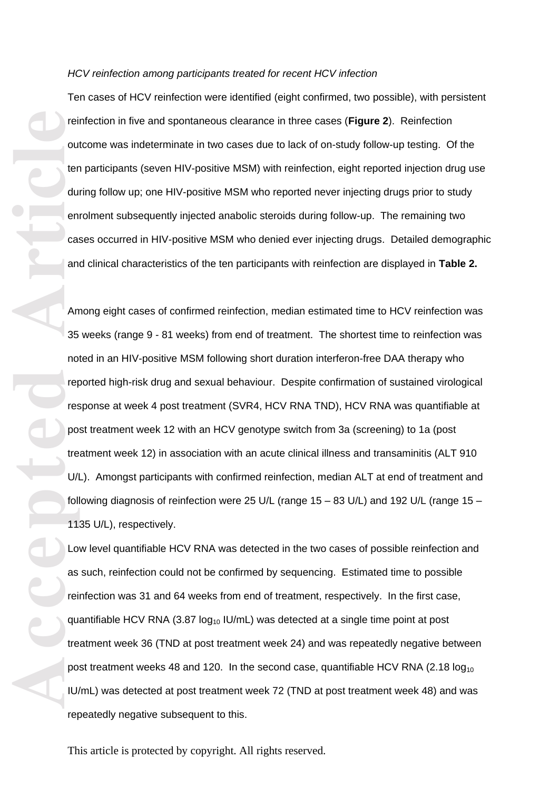#### *HCV reinfection among participants treated for recent HCV infection*

Ten cases of HCV reinfection were identified (eight confirmed , two possible), with persistent reinfection in five and spontaneous clearance in three cases (**Figure 2**). Reinfection outcome was indeterminate in two cases due to lack of on -study follow -up testing. Of the ten participants (seven HIV-positive MSM) with reinfection, eight reported injection drug use during follow up; one HIV -positive MSM who reported never injecting drugs prior to study enrolment subsequently injected anabolic steroids during follow -up. The remaining two cases occurred in HIV -positive MSM who denied ever injecting drugs. Detailed demographic and clinical characteristics of the ten participants with reinfection are displayed in **Table 2.** 

**Accepted Article**<br> **Article**<br> **Article**<br> **Article**<br> **Article**<br> **Article**<br> **Article**<br> **Article**<br> **Article**<br> **Article**<br> **Article**<br> **Article**<br> **Article**<br> **Article**<br> **Article**<br> **Article**<br> **Article**<br> **Article**<br> **Article**<br> **A** Among eight cases of confirmed reinfection, median estimated time to HCV reinfection was 35 weeks (range 9 - 81 weeks ) from end of treatment. The shortest time to reinfection was noted in an HIV -positive MSM following short duration interferon -free DAA therapy who reported high -risk drug and sexual behaviour. Despite confirmation of sustained virological response at week 4 post treatment (SVR4, HCV RNA TND), HCV RNA was quantifiable at post treatment week 12 with an HCV genotype switch from 3a (screening) to 1a (post treatment week 12) in association with an acute clinical illness and transaminitis (ALT 910 U/L). Amongst participants with confirmed reinfection, median ALT at end of treatment and following diagnosis of reinfection were 25 U/L (range 15 – 83 U/L) and 192 U/L (range 15 – 1135 U/L), respectively.

Low level quantifiable HCV RNA was detected in the two cases of possible reinfection and as such, reinfection could not be confirmed by sequencing. Estimated time to possible reinfection was 31 and 64 weeks from end of treatment, respectively. In the first case, quantifiable HCV RNA  $(3.87 \log_{10} IU/mL)$  was detected at a single time point at post treatment week 36 (TND at post treatment week 24 ) and was repeatedly negative between post treatment weeks 48 and 120. In the second case, quantifiable HCV RNA  $(2.18 \log_{10}$ IU/mL) was detected at post treatment week 72 (TND at post treatment week 4 8) and was repeatedly negative subsequent to this.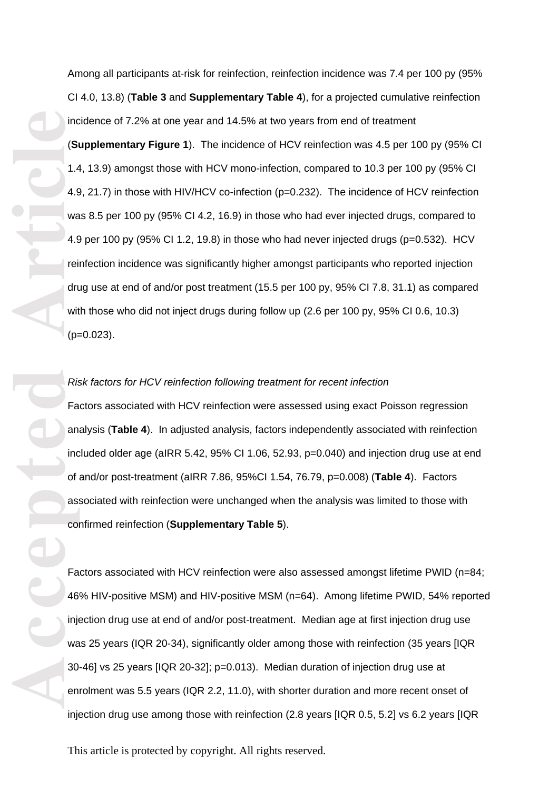Accepted **Article**<br>
Accepted Article<br>
Accepted Article<br>
Accepted Article<br>
Article<br>
Accepted<br>
Article<br>
Accepted<br>
Article<br>
Accepted<br>
Article<br>
Accepted<br>
Article<br>
Article<br>
Article<br>
Article<br>
Article<br>
Article<br>
Article<br>
Article<br> Among all participants at-risk for reinfection, reinfection incidence was 7.4 per 100 py (95% CI 4.0, 13. 8 ) (**Table 3** and **Supplementary Table 4**), for a projected cumulative reinfection incidence of 7.2% at one year and 14.5% at two years from end of treatment (**Supplementary Figure 1**). The incidence of HCV reinfection was 4.5 per 100 py (95% CI 1.4, 13. 9) amongst those with HCV mono -infection, compared to 10.3 per 100 py (95% CI 4.9, 21.7) in those with HIV/HCV co -infection (p=0.232 ). The incidence of HCV reinfection was 8.5 per 100 py (95% CI 4.2, 16.9) in those who had ever injected drugs, compared to 4.9 per 100 py (95% CI 1.2, 1 9.8) in those who had never injected drugs (p=0.532) . HCV reinfection incidence was significantly higher amongst participants who reported injection drug use at end of and/or post treatment (15.5 per 100 py, 95% CI 7. 8, 31. 1) as compared with those who did not inject drugs during follow up (2. 6 per 100 py, 95% CI 0.6, 10.3) (p=0.02 3 ) .

### *Risk factors for HCV reinfection following treatment for recent infection*

Factors associated with HCV reinfection were assessed using exact Poisson regression analysis (**Table 4** ). In adjusted analysis, factors independently associated with reinfection included older age (aIRR 5.42, 95% CI 1.06, 52.93, p=0.040) and injection drug use at end of and/or post -treatment (aIRR 7.86, 95%CI 1.54, 76.79, p=0.008) (**Table 4**). Factors associated with reinfection were unchanged when the analysis was limited to those with confirmed reinfection (**Supplementary Table 5**).

Factors associated with HCV reinfection were also assessed amongst lifetime PWID (n=84; 46% HIV-positive MSM) and HIV-positive MSM (n=64). Among lifetime PWID, 54% reported injection drug use at end of and/or post -treatment. Median age at first injection drug use was 25 years (IQR 20-34), significantly older among those with reinfection (35 years [IQR 30 -46 ] vs 25 years [IQR 20 -32 ]; p=0.013). Median duration of injection drug use at enrolment was 5.5 years (IQR 2.2, 11.0 ), with shorter duration and more recent onset of injecti on drug use among those with reinfection (2.8 years [IQR 0.5, 5.2 ] vs 6.2 years [IQR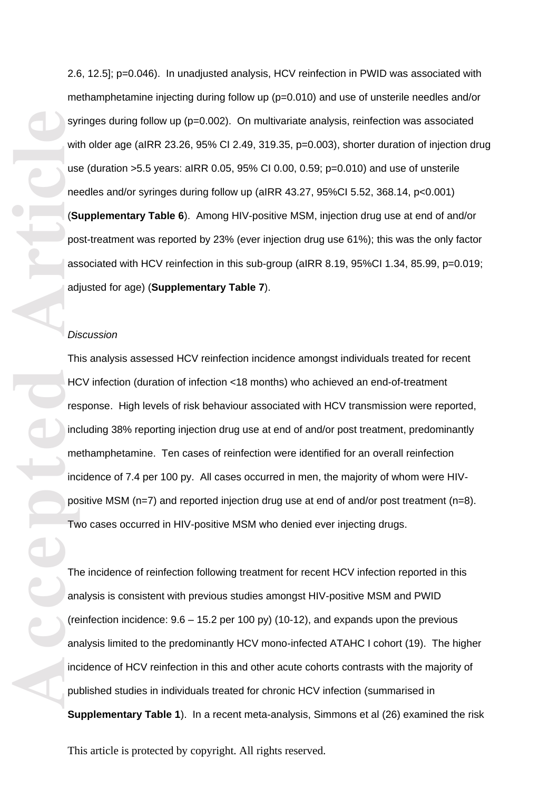2.6, 12.5 ]; p=0.046 ). In unadjusted analysis, HCV reinfection in PWID was associated with methamphetamine injecting during follow up (p=0.010) and use of unsterile needles and/or syringes during follow up (p=0.002). On multivariate analysis, reinfection was associated with older age (aIRR 23.26, 95% CI 2.49, 319.35, p=0.003 ), shorter duration of injection drug use (duration >5.5 years: aIRR 0.05, 95% CI 0.00, 0.59; p=0.010 ) and use of unsterile needles and/or syringes during follow up (aIRR 43.27, 95%CI 5.52, 368.14, p<0.001) (**Supplementary Table 6**). Among HIV-positive MSM, injection drug use at end of and/or post -treatment was reported by 23% (ever injection drug use 61%); this was the only factor associated with HCV reinfection in this sub -group (aIRR 8.19, 95%CI 1.34, 85.99, p=0.019; adjusted for age) (**Supplementary Table 7**).

### *Discussion*

**Article**<br> **Article**<br> **Article**<br> **Article**<br> **Article**<br> **Article**<br> **Article**<br> **Article**<br> **Article**<br> **Article**<br> **Article**<br> **Article**<br> **Article**<br> **Article**<br> **Article**<br> **Article**<br> **Article**<br> **Article**<br> **Article**<br> **Article**<br> **A** This analysis assessed HCV reinfection incidence amongst individual s treated for recent HCV infection (duration of infection <18 months) who achieved an end -of -treatment response . High levels of risk behaviour associated with HCV transmission were reported, including 38% reporting injection drug use at end of and/or post treatment, predominantly methamphetamine. Ten cases of reinfection were identified for an overall reinfection incidence of 7.4 per 100 py. All cases occurred in men, the majority of whom were HIV positive MSM (n=7) and reported injection drug use at end of and/or post treatment (n=8).<br>Two cases occurred in HIV-positive MSM who denied ever injecting drugs.

The incidence of reinfection following treatment for recent HCV infection reported in this analysis is consistent with previous studies amongst HIV -positive MSM and PWID (reinfection incidence: 9.6 – 15.2 per 100 py) (10 -12), and expands upon the previous analysis limited to the predominantly HCV mono -infected ATAHC I cohort (19). The higher incidence of HCV reinfection in this and other acute cohorts contrasts with the majority of published studies in individuals treated for chronic HCV infection (summarised in Supplementary Table 1). In a recent meta-analysis, Simmons et al (26) examined the risk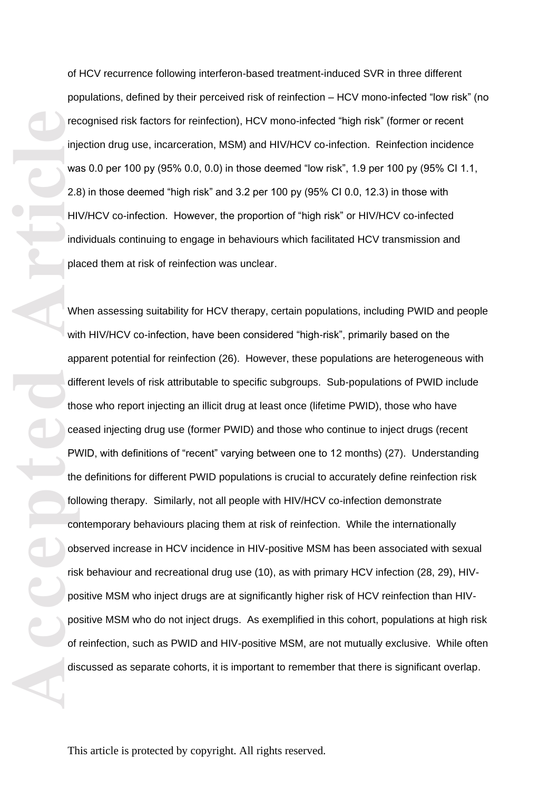of HCV recurrence following interferon -based treatment -induced SVR in three different populations, defined by their perceived risk of reinfection – HCV mono -infected "low risk" (no recognised risk factors for reinfection), HCV mono -infected "high risk" (former or recent injection drug use, incarceration, MSM) and HIV/HCV co -infection. Reinfection incidence was 0.0 per 100 py (95% 0.0, 0.0) in those deemed "low risk", 1.9 per 100 py (95% CI 1.1, 2.8) in those deemed "high risk" and 3.2 per 100 py (95% CI 0.0, 12.3) in those with HIV/HCV co -infection. However, the proportion of "high risk" or HIV/HCV co -infected individuals continuing to engage in behaviours which facilitated HCV transmission and placed them at risk of reinfection was unclear.

The contract of the contract of the contract of the contract of the contract of the contract of the contract of the contract of the contract of the contract of the contract of the contract of the contract of the contract o When assessing suitability for HCV therapy, certain populations, including PWID and people with HIV/HCV co -infection, have been considered "high -risk", primarily based on the apparent potential for reinfection (26). However, these populations are heterogeneous with different levels of risk attributable to specific subgroups. Sub -populations of PWID include those who report injecting an illicit drug at least once (lifetime PWID), those who have ceased injecting drug use (former PWID) and those who continue to inject drugs (recent PWID, with definitions of "recent" varying between one to 12 months) (27). Understanding the definitions for different PWID populations is crucial to accurately define reinfection risk following therapy. Similarly, not all people with HIV/HCV co -infection demonstrate contemporary behaviours placing them at risk of reinfection. While the internationally observed increase in HCV incidence in HIV -positive MSM has been associated with sexual risk behaviour and recreational drug use (10), as with primary HCV infection (28, 29), HIV positive MSM who inject drugs are at significantly higher risk of HCV reinfection than HIV positive MSM who do not inject drugs. As exemplified in this cohort, populations at high risk of reinfection, such as PWID and HIV -positive MSM, are not mutually exclusive. While often discussed as separate cohorts, it is important to remember that there is significant overlap.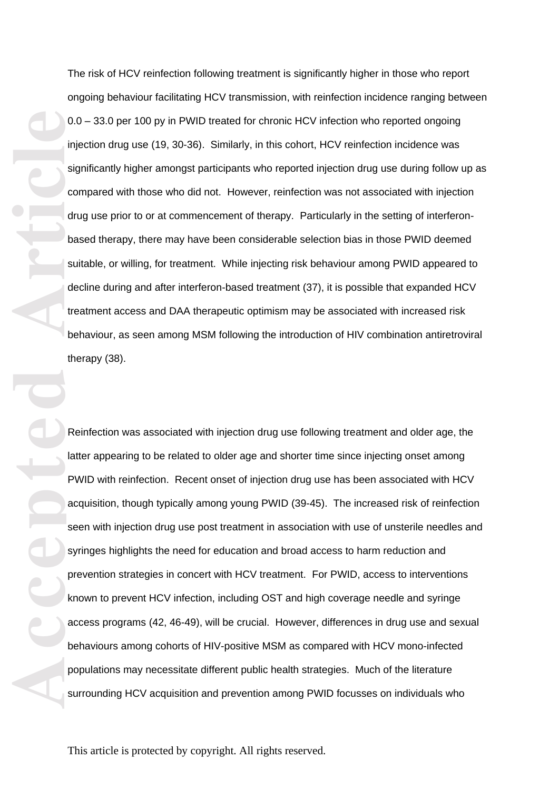The risk of HCV reinfection following treatment is significantly higher in those who report ongoing behaviour facilitating HCV transmission, with reinfection incidence ranging between 0.0 – 33.0 per 100 py in PWID treated for chronic HCV infection who reported ongoing injection drug use (19, 30 -36). Similarly, in this cohort, HCV reinfection incidence was significantly higher amongst participants who reported injection drug use during follow up as compared with those who did not. However, reinfection was not associated with injection drug use prior to or at commencement of therapy. Particularly in the setting of interferon based therapy, there may have been considerable selection bias in those PWID deemed suitable, or willing, for treatment. While injecting risk behaviour among PWID appeared to decline during and after interferon -based treatment (37), it is possible that expanded HCV treatment access and DAA therapeutic optimism may be associated with increased risk behaviour, as seen among MSM following the introduction of HIV combination antiretroviral therapy (38).

0.0<br>
Article<br>
Article<br>
Article<br>
Article<br>
Article<br>
Article<br>
Article<br>
Article<br>
Article<br>
Article<br>
Article<br>
Article<br>
Article<br>
Article<br>
Article<br>
Article<br>
Article<br>
Article<br>
Article<br>
Article<br>
Article<br>
Article<br>
Article<br>
Article<br>
A Reinfection was associated with injection drug use following treatment and older age, the latter app earing to be related to older age and shorter time since injecting onset among PWID with reinfection. Recent onset of injection drug use has been associated with HCV acquisition, though typically among young PWID (39 -45) . The increased risk of reinfection seen with injection drug use post treatment in association with use of unsterile needles and syringes highlights the need for education and broad access to harm reduction and prevention strategies in concert with HCV treatment. For PWID, access to interventions known to prevent HCV infection, including OST and high coverage needle and syringe access programs (42, 46 -49), will be crucial. However, differences in drug use and sexual behaviours among cohorts of HIV -positive MSM as compared with HCV mono -infected populations may necessitate different public health strategies. Much of the literature surrounding HCV acquisition and prevention among PWID focusses on individuals who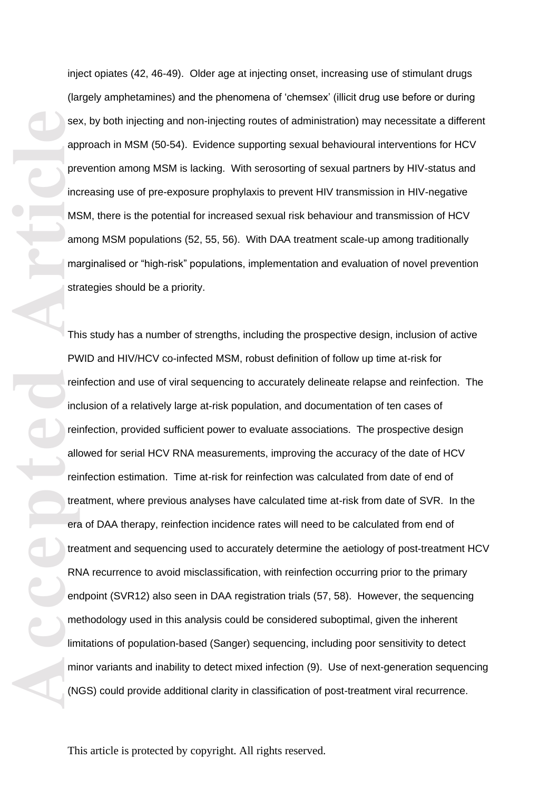inject opiates (42, 46 -49). Older age at injecting onset, increasing use of stimulant drugs (largely amphetamines) and the phenomena of 'chemsex' (illicit drug use before or during sex, by both injecting and non-injecting routes of administration) may necessitate a different approach in MSM (50 -54) . Evidence supporting sexual behavioural interventions for HCV prevention among MSM is lacking. With serosorting of sexual partners by HIV -status and increasing use of pre -exposure prophylaxis to prevent HIV transmission in HIV -negative MSM, there is the potential for increased sexual risk behaviour and transmission of HCV among MSM populations (52, 55, 56). With DAA treatment scale -up among traditionally marginalised or "high-risk" populations, implementation and evaluation of novel prevention strategies should be a priority.

**Accepted Article**<br> **Article**<br> **Article**<br> **Article**<br> **Article**<br> **Article**<br> **Article**<br> **Article**<br> **Article**<br> **Article**<br> **Article**<br> **Article**<br> **Article**<br> **Article**<br> **Article**<br> **Article**<br> **Article**<br> **Article**<br> **Article**<br> **A** This study has a number of strengths, including the prospective design, inclusion of active PWID and HIV/HCV co-infected MSM, robust definition of follow up time at-risk for reinfection and use of viral sequencing to accurately delineate relapse and reinfection. The inclusion of a relatively large at -risk population, and documentation of ten cases of reinfection, provided sufficient power to evaluate associations. The prospective design allowed for serial HCV RNA measurements, improving the accuracy of the date of HCV reinfection estimation. Time at-risk for reinfection was calculated from date of end of treatment, where previous analyses have calculated time at -risk from date of SVR. In the era of DAA therapy, reinfection incidence rates will need to be calculated from end of treatment and sequencing used to accurately determine the aetiology of post -treatment HCV RNA recurrence to avoid misclassification, with reinfection occurring prior to the primary endpoint (SVR12) also seen in DAA registration trials (57, 58). However, the sequencing methodology used in this analysis could be considered suboptimal, given the inherent limitations of population-based (Sanger) sequencing, including poor sensitivity to detect minor variants and inability to detect mixed infection (9). Use of next -generation sequencing (NGS) could provide additional clarity in classification of post -treatment viral recurrence.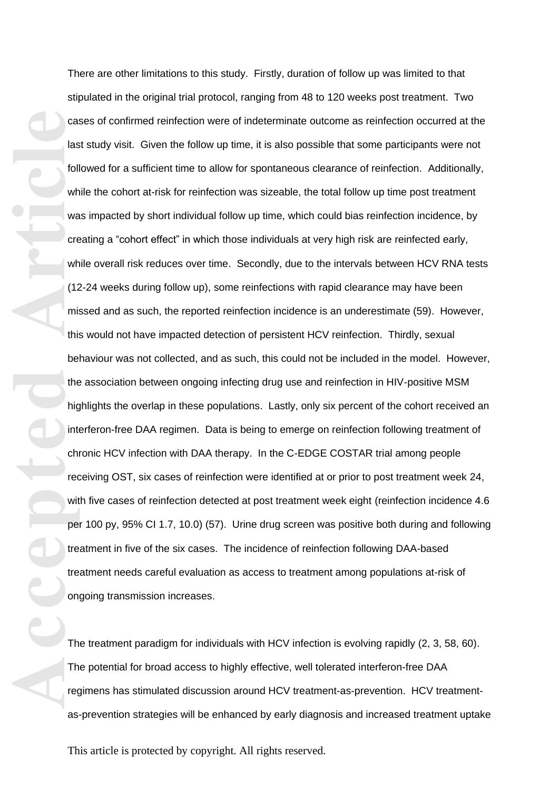Cate<br> **Accepted**<br>
Article<br>
Article<br>
Article<br>
Article<br>
Article<br>
Article<br>
Article<br>
Article<br>
Article<br>
Article<br>
Article<br>
Article<br>
Article<br>
Article<br>
Article<br>
Article<br>
Article<br>
Article<br>
Article<br>
Article<br>
Article<br>
Article<br>
Articl There are other limitations to this study. Firstly, duration of follow up was limited to that stipulated in the original trial protocol, ranging from 48 to 120 weeks post treatment. Two cases of confirmed reinfection were of indeterminate outcome as reinfection occurred at the last study visit. Given the follow up time, it is also possible that some participants were not followed for a sufficient time to allow for spontaneous clearance of reinfection. Additionally, while the cohort at-risk for reinfection was sizeable, the total follow up time post treatment was impacted by short individual follow up time, which could bias reinfection incidence, by creating a "cohort effect" in which those individuals at very high risk are reinfected early, while overall risk reduces over time. Secondly, due to the intervals between HCV RNA tests (12 -24 weeks during follow up), some reinfections with rapid clearance may have been missed and as such, the reported reinfection incidence is an underestimate (59). However, this would not have impacted detection of persistent HCV reinfection. Thirdly, sexual behaviour was not collected, and as such, this could not be included in the model. However, the association between ongoing infecting drug use and reinfection in HIV -positive MSM highlights the overlap in these populations. Lastly, only six percent of the cohort received an interferon -free DAA regimen. Data is being to emerge on reinfection following treatment of chronic HCV infection with DAA therapy. In the C -EDGE COSTAR trial among people receiving OST, six cases of reinfection were identified at or prior to post treatment week 24, with five cases of reinfection detected at post treatment week eight (reinfection incidence 4.6 per 100 py, 95% CI 1.7, 10.0) (57). Urine drug screen was positive both during and following treatment in five of the six cases. The incidence of reinfection following DAA -based treatment needs careful evaluation as access to treatment among populations at -risk of ongoing transmission increases.

The treatment paradigm for individuals with HCV infection is evolving rapidly (2, 3, 58, 60). The potential for broad access to highly effective, well tolerated interferon -free DAA regimens has stimulated discussion around HCV treatment -as -prevention. HCV treatment as -prevention strategies will be enhanced by early diagnosis and increased treatment uptake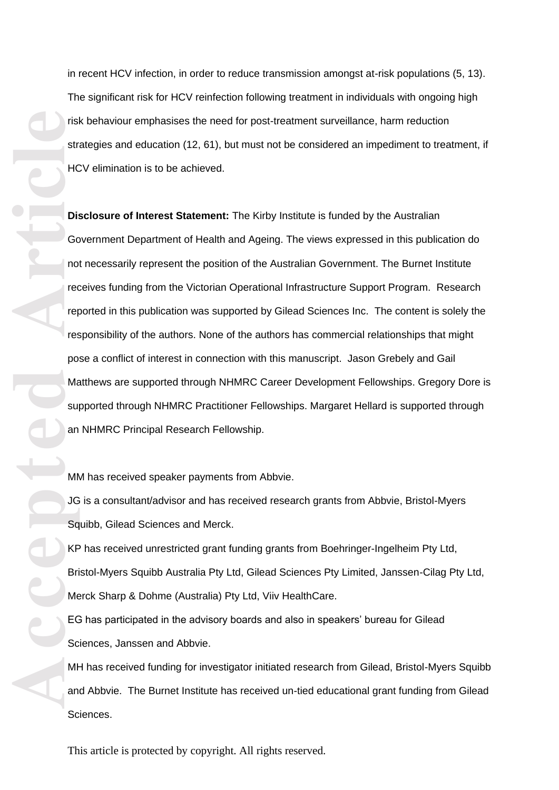in recent HCV infection, in order to reduce transmission amongst at -risk populations (5, 13). The significant risk for HCV reinfection following treatment in individuals with ongoing high risk behaviour emphasises the need for post -treatment surveillance, harm reduction strategies and education (12, 61), but must not be considered an impediment to treatment, if HCV elimination is to be achieved.

Fish the Reader of Article<br>
Article<br>
Article<br>
Article<br>
Article<br>
Article<br>
Article<br>
Sq<br>
Article<br>
Sq<br>
Article<br>
Article<br>
Article<br>
Article<br>
Article<br>
Article<br>
Article<br>
Article<br>
Article<br>
Article<br>
Article<br>
Article<br>
Article<br>
Articl **Disclosure of Interest Statement:** The Kirby Institute is funded by the Australian Government Department of Health and Ageing. The views expressed in this publication do not necessarily represent the position of the Australian Government. The Burnet Institute receives funding from the Victorian Operational Infrastructure Support Program. Research reported in this publication was supported by Gilead Sciences Inc. The content is solely the responsibility of the authors. None of the authors has commercial relationships that might pose a conflict of interest in connection with this manuscript. Jason Grebely and Gail Matthews are supported through NHMRC Career Development Fellowships. Gregory Dore is supported through NHMRC Practitioner Fellowships. Margaret Hellard is supported through an NHMRC Principal Research Fellowship.

MM has received speaker payments from Abbvie.

JG is a consultant/advisor and has received research grants from Abbvie, Bristol -Myers Squibb, Gilead Sciences and Merck.

KP has received unrestricted grant funding grants from Boehringer -Ingelheim Pty Ltd, Bristol -Myers Squibb Australia Pty Ltd, Gilead Sciences Pty Limited, Janssen -Cilag Pty Ltd, Merck Sharp & Dohme (Australia) Pty Ltd, Viiv HealthCare.

EG has participated in the advisory boards and also in speakers' bureau for Gilead Sciences, Janssen and Abbvie.

MH has received funding for investigator initiated research from Gilead, Bristol -Myers Squibb and Abbvie. The Burnet Institute has received un -tied educational grant funding from Gilead Sciences.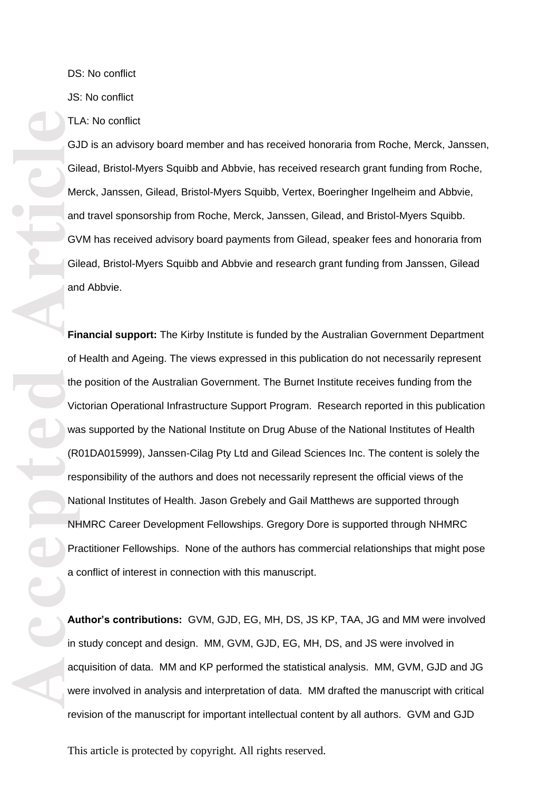DS: No conflict

JS: No conflict

TLA: No conflict

GJD is an advisory board member and has received honoraria from Roche, Merck, Janssen, Gilead, Bristol -Myers Squibb and Abbvie, has received research grant funding from Roche, Merck, Janssen, Gilead, Bristol-Myers Squibb, Vertex, Boeringher Ingelheim and Abbvie, and travel sponsorship from Roche, Merck, Janssen, Gilead, and Bristol -Myers Squibb. GVM has received advisory board payments from Gilead, speaker fees and honoraria from Gilead, Bristol -Myers Squibb and Abbvie and research grant funding from Janssen, Gilead and Abbvie.

**Financial support:** The Kirby Institute is funded by the Australian Government Department of Health and Ageing. The views expressed in this publication do not necessarily represent the position of the Australian Government. The Burnet Institute receives funding from the Victorian Operational Infrastructure Support Program. Research reported in this publication was supported by the National Institute on Drug Abuse of the National Institutes of Health<br>(R01DA015999), Janssen-Cilag Pty Ltd and Gilead Sciences Inc. The content is solely the responsibility of the authors and does not necessarily represent the official views of the National Institutes of Health. Jason Grebely and Gail Matthews are supported through NHMRC Career Development Fellowships. Gregory Dore is supported through NHMRC Practitioner Fellowships. None of the authors has commercial relationships that might pose a conflict of interest in connection with this manuscript.

**Author's contributions:** GVM, GJD, EG, MH, DS, JS KP, TAA, JG and MM were involved in study concept and design. MM, GVM, GJD, EG, MH, DS, and JS were involved in acquisition of data. MM and KP performed the statistical analysis. MM, GVM, GJD and JG were involved in analysis and interpretation of data. MM drafted the manuscript with critical revision of the manuscript for important intellectual content by all authors. GVM and GJD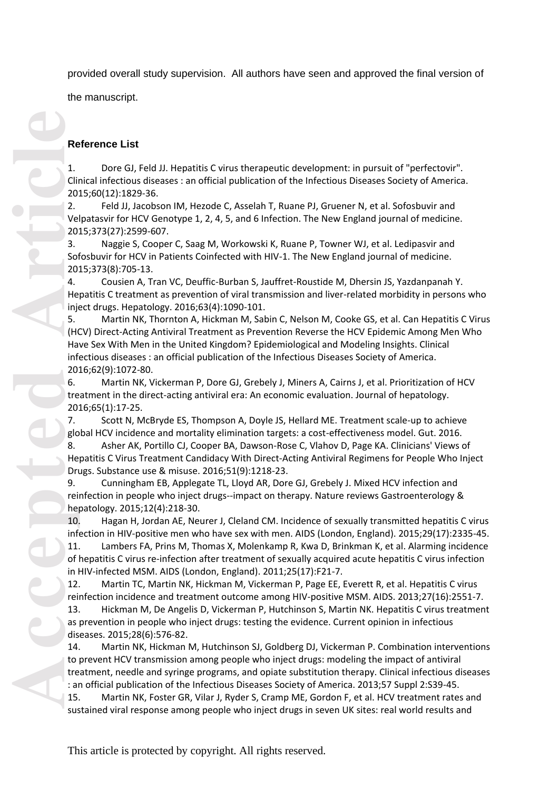provided overall study supervision. All authors have seen and approved the final version of

the manuscript.

# **Reference List**

Dore GJ, Feld JJ. Hepatitis C virus therapeutic development: in pursuit of "perfectovir". Clinical infectious diseases : an official publication of the Infectious Diseases Society of America. 2015;60(12):1829 -36.

2. Feld JJ, Jacobson IM, Hezode C, Asselah T, Ruane PJ, Gruener N, et al. Sofosbuvir and Velpatasvir for HCV Genotype 1, 2, 4, 5, and 6 Infection. The New England journal of medicine. 2015;373(27):2599 -607.

3. Naggie S, Cooper C, Saag M, Workowski K, Ruane P, Towner WJ, et al. Ledipasvir and Sofosbuvir for HCV in Patients Coinfected with HIV -1. The New England journal of medicine. 2015;373(8):705 -13.

4. Cousien A, Tran VC, Deuffic -Burban S, Jauffret -Roustide M, Dhersin JS, Yazdanpanah Y. Hepatitis C treatment as prevention of viral transmission and liver -related morbidity in persons who inject drugs. Hepatology. 2016;63(4):1090 -101.

5. Martin NK, Thornton A, Hickman M, Sabin C, Nelson M, Cooke GS, et al. Can Hepatitis C Virus (HCV) Direct -Acting Antiviral Treatment as Prevention Reverse the HCV Epidemic Among Men Who Have Sex With Men in the United Kingdom? Epidemiological and Modeling Insights. Clinical infectious diseases : an official publication of the Infectious Diseases Society of America. 2016;62(9):1072 -80.

6. Martin NK, Vickerman P, Dore GJ, Grebely J, Miners A, Cairns J, et al. Prioritization of HCV treatment in the direct-acting antiviral era: An economic evaluation. Journal of hepatology. 2016;65(1):17 -25.

7. Scott N, McBryde ES, Thompson A, Doyle JS, Hellard ME. Treatment scale -up to achieve global HCV incidence and mortality elimination targets: a cost -effectiveness model. Gut. 2016.

8. Asher AK, Portillo CJ, Cooper BA, Dawson -Rose C, Vlahov D, Page KA. Clinicians' Views of Hepatitis C Virus Treatment Candidacy With Direct -Acting Antiviral Regimens for People Who Inject Drugs. Substance use & misuse. 2016;51(9):1218 -23.

9. Cunningham EB, Applegate TL, Lloyd AR, Dore GJ, Grebely J. Mixed HCV infection and reinfection in people who inject drugs--impact on therapy. Nature reviews Gastroenterology & hepatology. 2015;12(4):218 -30.

10. Hagan H, Jordan AE, Neurer J, Cleland CM. Incidence of sexually transmitted hepatitis C virus infection in HIV -positive men who have sex with men. AIDS (London, England). 2015;29(17):2335 -45.

11. Lambers FA, Prins M, Thomas X, Molenkamp R, Kwa D, Brinkman K, et al. Alarming incidence of hepatitis C virus re -infection after treatment of sexually acquired acute hepatitis C virus infection in HIV -infected MSM. AIDS (London, England). 2011;25(17):F21 -7.

12. Martin TC, Martin NK, Hickman M, Vickerman P, Page EE, Everett R, et al. Hepatitis C virus reinfection incidence and treatment outcome among HIV -positive MSM. AIDS. 2013;27(16):2551 -7.

13. Hickman M, De Angelis D, Vickerman P, Hutchinson S, Martin NK. Hepatitis C virus treatment as prevention in people who inject drugs: testing the evidence. Current opinion in infectious diseases. 2015;28(6):576 -82.

14. Martin NK, Hickman M, Hutchinson SJ, Goldberg DJ, Vickerman P. Combination interventions to prevent HCV transmission among people who inject drugs: modeling the impact of antiviral treatment, needle and syringe programs, and opiate substitution therapy. Clinical infectious diseases : an official publication of the Infectious Diseases Society of America. 2013;57 Suppl 2:S39 -45.

15. Martin NK, Foster GR, Vilar J, Ryder S, Cramp ME, Gordon F, et al. HCV treatment rates and sustained viral response among people who inject drugs in seven UK sites: real world results and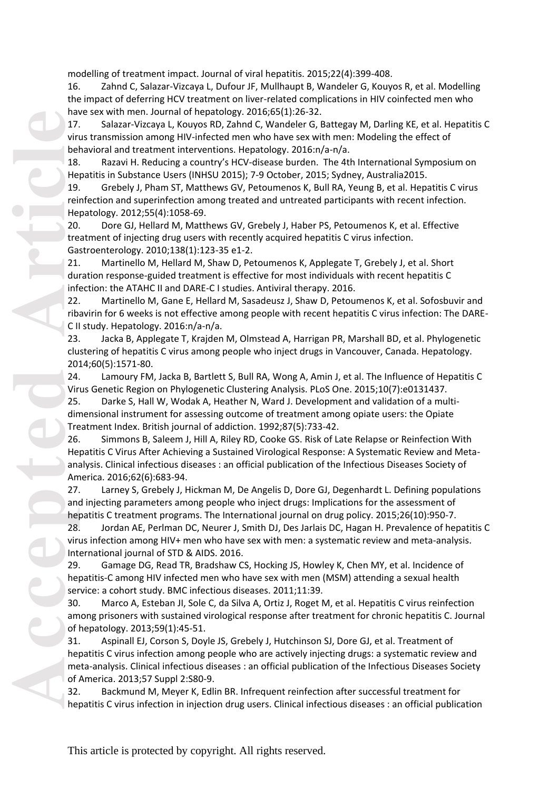modelling of treatment impact. Journal of viral hepatitis. 2015;22(4):399 -408.

16. Zahnd C, Salazar -Vizcaya L, Dufour JF, Mullhaupt B, Wandeler G, Kouyos R, et al. Modelling the impact of deferring HCV treatment on liver-related complications in HIV coinfected men who have sex with men. Journal of hepatology. 2016;65(1):26 -32.

17. Salazar -Vizcaya L, Kouyos RD, Zahnd C, Wandeler G, Battegay M, Darling KE, et al. Hepatitis C virus transmission among HIV-infected men who have sex with men: Modeling the effect of behavioral and treatment interventions. Hepatology. 2016:n/a -n/a.

18. Razavi H. Reducing a country's HCV -disease burden. The 4th International Symposium on Hepatitis in Substance Users (INHSU 2015); 7 -9 October, 2015; Sydney, Australia2015.

19. Grebely J, Pham ST, Matthews GV, Petoumenos K, Bull RA, Yeung B, et al. Hepatitis C virus reinfection and superinfection among treated and untreated participants with recent infection. Hepatology. 2012;55(4):1058 -69.

20. Dore GJ, Hellard M, Matthews GV, Grebely J, Haber PS, Petoumenos K, et al. Effective treatment of injecting drug users with recently acquired hepatitis C virus infection. Gastroenterology. 2010;138(1):123 -35 e1 -2.

21. Martinello M, Hellard M, Shaw D, Petoumenos K, Applegate T, Grebely J, et al. Short duration response -guided treatment is effective for most individuals with recent hepatitis C infection: the ATAHC II and DARE -C I studies. Antiviral therapy. 2016.

22. Martinello M, Gane E, Hellard M, Sasadeusz J, Shaw D, Petoumenos K, et al. Sofosbuvir and ribavirin for 6 weeks is not effective among people with recent hepatitis C virus infection: The DARE - C II study. Hepatology. 2016:n/a -n/a.

23. Jacka B, Applegate T, Krajden M, Olmstead A, Harrigan PR, Marshall BD, et al. Phylogenetic clustering of hepatitis C virus among people who inject drugs in Vancouver, Canada. Hepatology. 2014;60(5):1571 -80.

24. Lamoury FM, Jacka B, Bartlett S, Bull RA, Wong A, Amin J, et al. The Influence of Hepatitis C Virus Genetic Region on Phylogenetic Clustering Analysis. PLoS One. 2015;10(7):e0131437.

25. Darke S, Hall W, Wodak A, Heather N, Ward J. Development and validation of a multi dimensional instrument for assessing outcome of treatment among opiate users: the Opiate Treatment Index. British journal of addiction. 1992;87(5):733 -42.

26. Simmons B, Saleem J, Hill A, Riley RD, Cooke GS. Risk of Late Relapse or Reinfection With Hepatitis C Virus After Achieving a Sustained Virological Response: A Systematic Review and Meta analysis. Clinical infectious diseases : an official publication of the Infectious Diseases Society of America. 2016;62(6):683 -94.

27. Larney S, Grebely J, Hickman M, De Angelis D, Dore GJ, Degenhardt L. Defining populations and injecting parameters among people who inject drugs: Implications for the assessment of hepatitis C treatment programs. The International journal on drug policy. 2015;26(10):950 -7.

28. Jordan AE, Perlman DC, Neurer J, Smith DJ, Des Jarlais DC, Hagan H. Prevalence of hepatitis C virus infection among HIV+ men who have sex with men: a systematic review and meta -analysis. International journal of STD & AIDS. 2016.

29. Gamage DG, Read TR, Bradshaw CS, Hocking JS, Howley K, Chen MY, et al. Incidence of hepatitis -C among HIV infected men who have sex with men (MSM) attending a sexual health service: a cohort study. BMC infectious diseases. 2011;11:39.

30. Marco A, Esteban JI, Sole C, da Silva A, Ortiz J, Roget M, et al. Hepatitis C virus reinfection among prisoners with sustained virological response after treatment for chronic hepatitis C. Journal of hepatology. 2013;59(1):45 -51.

31. Aspinall EJ, Corson S, Doyle JS, Grebely J, Hutchinson SJ, Dore GJ, et al. Treatment of hepatitis C virus infection among people who are actively injecting drugs: a systematic review and meta -analysis. Clinical infectious diseases : an official publication of the Infectious Diseases Society of America. 2013;57 Suppl 2:S80 -9.

32. Backmund M, Meyer K, Edlin BR. Infrequent reinfection after successful treatment for hepatitis C virus infection in injection drug users. Clinical infectious diseases : an official publication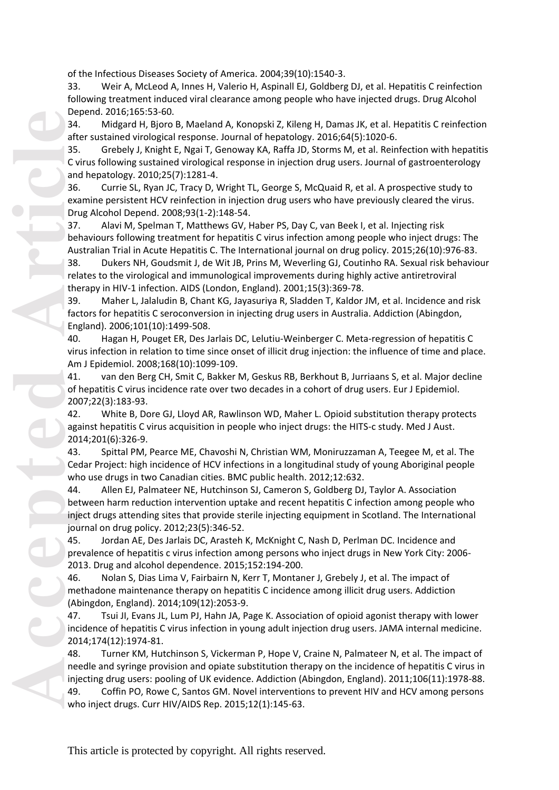of the Infectious Diseases Society of America. 2004;39(10):1540 -3.

33. Weir A, McLeod A, Innes H, Valerio H, Aspinall EJ, Goldberg DJ, et al. Hepatitis C reinfection following treatment induced viral clearance among people who have injected drugs. Drug Alcohol Depend. 2016;165:53 -60.

34. Midgard H, Bjoro B, Maeland A, Konopski Z, Kileng H, Damas JK, et al. Hepatitis C reinfection after sustained virological response. Journal of hepatology. 2016;64(5):1020 -6.

35. Grebely J, Knight E, Ngai T, Genoway KA, Raffa JD, Storms M, et al. Reinfection with hepatitis C virus following sustained virological response in injection drug users. Journal of gastroenterology and hepatology. 2010;25(7):1281 -4.

36. Currie SL, Ryan JC, Tracy D, Wright TL, George S, McQuaid R, et al. A prospective study to examine persistent HCV reinfection in injection drug users who have previously cleared the virus. Drug Alcohol Depend. 2008;93(1 -2):148 -54.

37. Alavi M, Spelman T, Matthews GV, Haber PS, Day C, van Beek I, et al. Injecting risk behaviours following treatment for hepatitis C virus infection among people who inject drugs: The Australian Trial in Acute Hepatitis C. The International journal on drug policy. 2015;26(10):976 -83.

38. Dukers NH, Goudsmit J, de Wit JB, Prins M, Weverling GJ, Coutinho RA. Sexual risk behaviour relates to the virological and immunological improvements during highly active antiretroviral therapy in HIV-1 infection. AIDS (London, England). 2001;15(3):369-78.

39. Maher L, Jalaludin B, Chant KG, Jayasuriya R, Sladden T, Kaldor JM, et al. Incidence and risk factors for hepatitis C seroconversion in injecting drug users in Australia. Addiction (Abingdon, England). 2006;101(10):1499 -508.

40. Hagan H, Pouget ER, Des Jarlais DC, Lelutiu -Weinberger C. Meta -regression of hepatitis C virus infection in relation to time since onset of illicit drug injection: the influence of time and place. Am J Epidemiol. 2008;168(10):1099 -109.

41. van den Berg CH, Smit C, Bakker M, Geskus RB, Berkhout B, Jurriaans S, et al. Major decline of hepatitis C virus incidence rate over two decades in a cohort of drug users. Eur J Epidemiol. 2007;22(3):183 -93.

42. White B, Dore GJ, Lloyd AR, Rawlinson WD, Maher L. Opioid substitution therapy protects against hepatitis C virus acquisition in people who inject drugs: the HITS -c study. Med J Aust. 2014;201(6):326 -9.

43. Spittal PM, Pearce ME, Chavoshi N, Christian WM, Moniruzzaman A, Teegee M, et al. The Cedar Project: high incidence of HCV infections in a longitudinal study of young Aboriginal people who use drugs in two Canadian cities. BMC public health. 2012;12:632.

44. Allen EJ, Palmateer NE, Hutchinson SJ, Cameron S, Goldberg DJ, Taylor A. Association between harm reduction intervention uptake and recent hepatitis C infection among people who inject drugs attending sites that provide sterile injecting equipment in Scotland. The International journal on drug policy. 2012;23(5):346 -52.

45. Jordan AE, Des Jarlais DC, Arasteh K, McKnight C, Nash D, Perlman DC. Incidence and prevalence of hepatitis c virus infection among persons who inject drugs in New York City: 2006 - 2013. Drug and alcohol dependence. 2015;152:194 -200.

46. Nolan S, Dias Lima V, Fairbairn N, Kerr T, Montaner J, Grebely J, et al. The impact of methadone maintenance therapy on hepatitis C incidence among illicit drug users. Addiction (Abingdon, England). 2014;109(12):2053 -9.

47. Tsui JI, Evans JL, Lum PJ, Hahn JA, Page K. Association of opioid agonist therapy with lower incidence of hepatitis C virus infection in young adult injection drug users. JAMA internal medicine. 2014;174(12):1974 -81.

48. Turner KM, Hutchinson S, Vickerman P, Hope V, Craine N, Palmateer N, et al. The impact of needle and syringe provision and opiate substitution therapy on the incidence of hepatitis C virus in injecting drug users: pooling of UK evidence. Addiction (Abingdon, England). 2011;106(11):1978 -88. 49. Coffin PO, Rowe C, Santos GM. Novel interventions to prevent HIV and HCV among persons who inject drugs. Curr HIV/AIDS Rep. 2015;12(1):145 -63.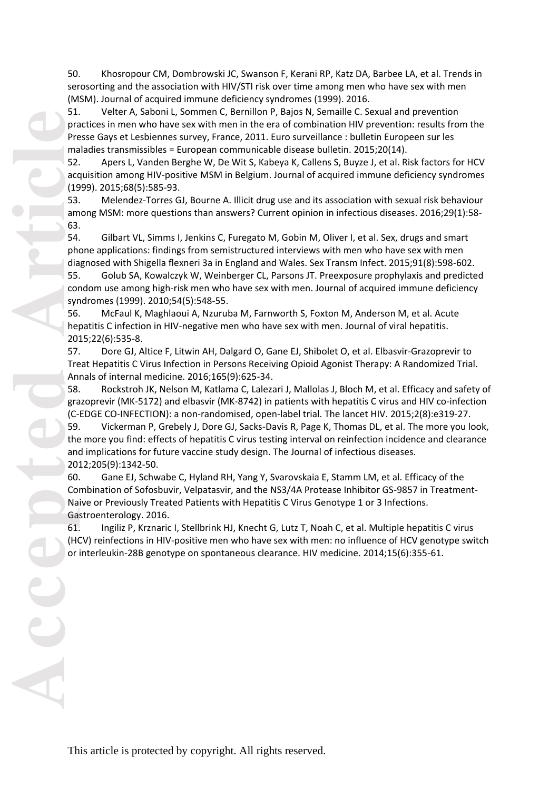50. Khosropour CM, Dombrowski JC, Swanson F, Kerani RP, Katz DA, Barbee LA, et al. Trends in serosorting and the association with HIV/STI risk over time among men who have sex with men (MSM). Journal of acquired immune deficiency syndromes (1999). 2016.

51. Velter A, Saboni L, Sommen C, Bernillon P, Bajos N, Semaille C. Sexual and prevention practices in men who have sex with men in the era of combination HIV prevention: results from the Presse Gays et Lesbiennes survey, France, 2011. Euro surveillance : bulletin Europeen sur les maladies transmissibles = European communicable disease bulletin. 2015;20(14).

52. Apers L, Vanden Berghe W, De Wit S, Kabeya K, Callens S, Buyze J, et al. Risk factors for HCV acquisition among HIV-positive MSM in Belgium. Journal of acquired immune deficiency syndromes (1999). 2015;68(5):585 -93.

53. Melendez -Torres GJ, Bourne A. Illicit drug use and its association with sexual risk behaviour among MSM: more questions than answers? Current opinion in infectious diseases. 2016;29(1):58 - 63.

54. Gilbart VL, Simms I, Jenkins C, Furegato M, Gobin M, Oliver I, et al. Sex, drugs and smart phone applications: findings from semistructured interviews with men who have sex with men diagnosed with Shigella flexneri 3a in England and Wales. Sex Transm Infect. 2015;91(8):598 -602.

55. Golub SA, Kowalczyk W, Weinberger CL, Parsons JT. Preexposure prophylaxis and predicted condom use among high -risk men who have sex with men. Journal of acquired immune deficiency syndromes (1999). 2010;54(5):548 -55.

56. McFaul K, Maghlaoui A, Nzuruba M, Farnworth S, Foxton M, Anderson M, et al. Acute hepatitis C infection in HIV-negative men who have sex with men. Journal of viral hepatitis. 2015;22(6):535 -8.

57. Dore GJ, Altice F, Litwin AH, Dalgard O, Gane EJ, Shibolet O, et al. Elbasvir -Grazoprevir to Treat Hepatitis C Virus Infection in Persons Receiving Opioid Agonist Therapy: A Randomized Trial. Annals of internal medicine. 2016;165(9):625 -34.

58. Rockstroh JK, Nelson M, Katlama C, Lalezari J, Mallolas J, Bloch M, et al. Efficacy and safety of grazoprevir (MK-5172) and elbasvir (MK-8742) in patients with hepatitis C virus and HIV co-infection (C -EDGE CO -INFECTION): a non -randomised, open -label trial. The lancet HIV. 2015;2(8):e319 -27.

59. Vickerman P, Grebely J, Dore GJ, Sacks -Davis R, Page K, Thomas DL, et al. The more you look, the more you find: effects of hepatitis C virus testing interval on reinfection incidence and clearance and implications for future vaccine study design. The Journal of infectious diseases. 2012;205(9):1342 -50.

60. Gane EJ, Schwabe C, Hyland RH, Yang Y, Svarovskaia E, Stamm LM, et al. Efficacy of the Combination of Sofosbuvir, Velpatasvir, and the NS3/4A Protease Inhibitor GS -9857 in Treatment - Naive or Previously Treated Patients with Hepatitis C Virus Genotype 1 or 3 Infections. Gastroenterology. 2016.

61. Ingiliz P, Krznaric I, Stellbrink HJ, Knecht G, Lutz T, Noah C, et al. Multiple hepatitis C virus (HCV) reinfections in HIV -positive men who have sex with men: no influence of HCV genotype switch or interleukin -28B genotype on spontaneous clearance. HIV medicine. 2014;15(6):355 -61.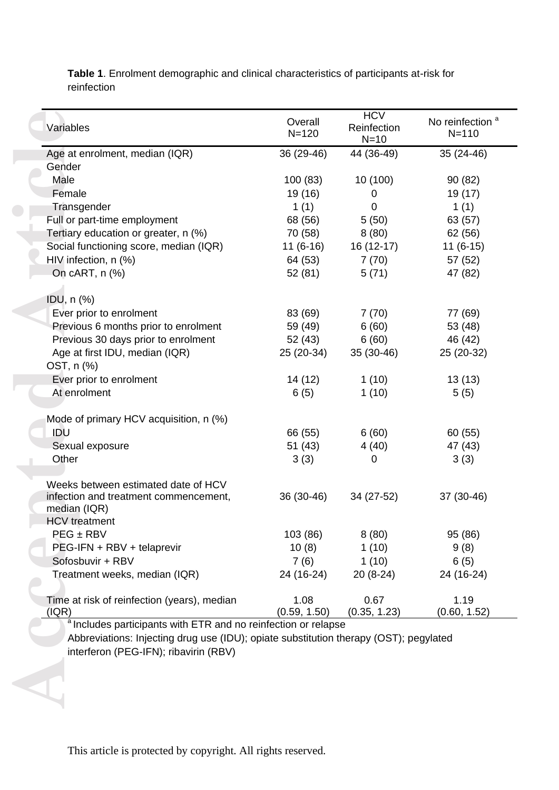Variable<br>
Age at<br>
Gender<br>
Male<br>
Fema<br>
Trans,<br>
Full or I<br>
Tertiary<br>
Social f<br>
HIV infe<br>
On cA<br>
IDU, n<br>
Ever Previc<br>
Previc<br>
Previc<br>
Age a<br>
OST, n<br>
Ever Previc<br>
At enr<br>
Mode c<br>
IDU<br>
Sexua<br>
Other<br>
Weeks<br>
infectio<br>
median<br>
HCV Variables Overall N=120 **HCV** Reinfection  $N=10$ No reinfection<sup>a</sup> N=110 Age at enrolment, median (IQR 36 (29-46) 44 (36-49) -49) 35 (24 -46) Gender Male 100 (83) 10 (100) 90 (82) Female 19 (16) 0 19 (17) Transgender 1 (1)  $0 \t1(1)$ Full or part-time employment 68 (56) 5 (50) 63 (57) Tertiary education or greater, n  $\left(\% \right)$   $\left(\frac{70}{58} \right)$   $\left(\frac{80}{58} \right)$   $\left(\frac{80}{56} \right)$   $\left(\frac{62}{56} \right)$ Social functioning score, median (IQR) 11 (6-16) 16 (12-17) -17) 11 (6 -15) HIV infection, n (%) 64 (53) 7 (70) 57 (52) On cART, n (%) 62 (81) 52 (81) 5 (71) 47 (82) IDU, n (%) Ever prior to enrolment 83 (69) 7 (70) 77 (69) Previous 6 months prior to enrolment  $59 (49)$  6 (60) 53 (48) Previous 30 days prior to enrolment 5 2 (43) 6 (60) 4 6 (4 2 ) Age at first IDU, median (IQR) 25 (20-34) 35 (30-46) -46) 25 (20 -32) OST, n (%) Ever prior to enrolment  $14 (12)$  1 (10) 13 (13) At enrolment 6 (5) 1 (10) 5 (5) Mode of primary HCV acquisition, n (%) IDU 66 (55) 6 (60) 60 (55) Sexual exposure 51 (43) 4 (40) 47 (43) Other 3 (3)  $0 \t3(3)$ Weeks between estimated date of HCV infection and treatment commencement, median (IQR) 36 (30 34 (27-52) -52) 37 (30 -46) HCV treatment  $PEG \pm RBV$  103 (86) 8 (80) 95 (86) PEG-IFN + RBV + telaprevir 10 (8) 1 (10) 9 (8) Sofosbuvir + RBV  $7 (6)$  1 (10) 6 (5) Treatment weeks, median (IQR) 24 (16-24)  $20(8-24)$ -24) 24 (16 -24) Time at risk of reinfection (years), median (IQR) 1.08 (0.59, 1.50) 0.67 (0.35, 1.23) 1.19 (0.60, 1.52)

Table 1. Enrolment demographic and clinical characteristics of participants at-risk for reinfection

<sup>a</sup> Includes participants with ETR and no reinfection or relapse Abbreviations: Injecting drug use (IDU); opiate substitution therapy (OST); pegylated interferon (PEG -IFN); ribavirin (RBV)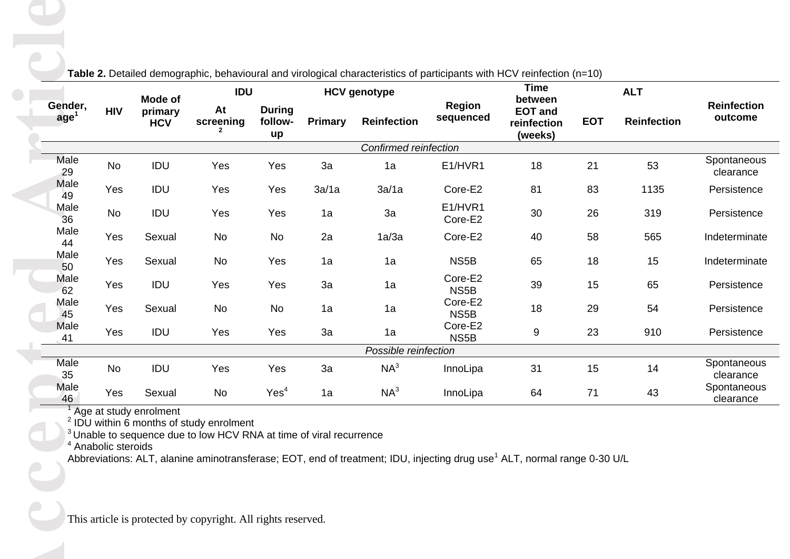| Gender,<br>age <sup>1</sup> | <b>HIV</b>                     | Mode of<br>primary<br><b>HCV</b> | Table 2. Detailed demographic, behavioural and virological characteristics of participants with HCV reinfection (n=10)<br><b>IDU</b> |                                | <b>HCV</b> genotype |                                                                                                                                      |                            | <b>Time</b><br>between                                 |                    | <b>ALT</b>                    |                          |
|-----------------------------|--------------------------------|----------------------------------|--------------------------------------------------------------------------------------------------------------------------------------|--------------------------------|---------------------|--------------------------------------------------------------------------------------------------------------------------------------|----------------------------|--------------------------------------------------------|--------------------|-------------------------------|--------------------------|
|                             |                                |                                  | At<br>screening                                                                                                                      | <b>During</b><br>follow-<br>up | <b>Primary</b>      | <b>Reinfection</b>                                                                                                                   | <b>Region</b><br>sequenced | <b>EOT and</b><br><b>EOT</b><br>reinfection<br>(weeks) | <b>Reinfection</b> | <b>Reinfection</b><br>outcome |                          |
|                             |                                |                                  |                                                                                                                                      |                                |                     | Confirmed reinfection                                                                                                                |                            |                                                        |                    |                               |                          |
| Male<br>29                  | No                             | IDU                              | Yes                                                                                                                                  | Yes                            | 3a                  | 1a                                                                                                                                   | E1/HVR1                    | 18                                                     | 21                 | 53                            | Spontaneous<br>clearance |
| Male<br>49                  | Yes                            | IDU                              | Yes                                                                                                                                  | Yes                            | 3a/1a               | 3a/1a                                                                                                                                | Core-E2                    | 81                                                     | 83                 | 1135                          | Persistence              |
| Male<br>36                  | No                             | IDU                              | Yes                                                                                                                                  | Yes                            | 1a                  | 3a                                                                                                                                   | E1/HVR1<br>Core-E2         | 30                                                     | 26                 | 319                           | Persistence              |
| Male<br>44                  | Yes                            | Sexual                           | No                                                                                                                                   | No                             | 2a                  | 1a/3a                                                                                                                                | Core-E2                    | 40                                                     | 58                 | 565                           | Indeterminate            |
| Male<br>50                  | Yes                            | Sexual                           | No                                                                                                                                   | Yes                            | 1a                  | 1a                                                                                                                                   | NS5B                       | 65                                                     | 18                 | 15                            | Indeterminate            |
| Male<br>62                  | Yes                            | IDU                              | Yes                                                                                                                                  | Yes                            | 3a                  | 1a                                                                                                                                   | Core-E2<br>NS5B            | 39                                                     | 15                 | 65                            | Persistence              |
| Male<br>45                  | Yes                            | Sexual                           | No                                                                                                                                   | No                             | 1a                  | 1a                                                                                                                                   | Core-E2<br>NS5B            | 18                                                     | 29                 | 54                            | Persistence              |
| Male<br>41                  | Yes                            | IDU                              | Yes                                                                                                                                  | Yes                            | 3a                  | 1a                                                                                                                                   | Core-E2<br>NS5B            | 9                                                      | 23                 | 910                           | Persistence              |
|                             |                                |                                  |                                                                                                                                      |                                |                     | Possible reinfection                                                                                                                 |                            |                                                        |                    |                               |                          |
| Male<br>35                  | No                             | IDU                              | Yes                                                                                                                                  | Yes                            | 3a                  | $NA^3$                                                                                                                               | InnoLipa                   | 31                                                     | 15                 | 14                            | Spontaneous<br>clearance |
| Male<br>46                  | Yes                            | Sexual                           | No                                                                                                                                   | Yes <sup>4</sup>               | 1a                  | $NA^3$                                                                                                                               | InnoLipa                   | 64                                                     | 71                 | 43                            | Spontaneous<br>clearance |
|                             | <sup>4</sup> Anabolic steroids | Age at study enrolment           | $2$ IDU within 6 months of study enrolment<br><sup>3</sup> Unable to sequence due to low HCV RNA at time of viral recurrence         |                                |                     | Abbreviations: ALT, alanine aminotransferase; EOT, end of treatment; IDU, injecting drug use <sup>1</sup> ALT, normal range 0-30 U/L |                            |                                                        |                    |                               |                          |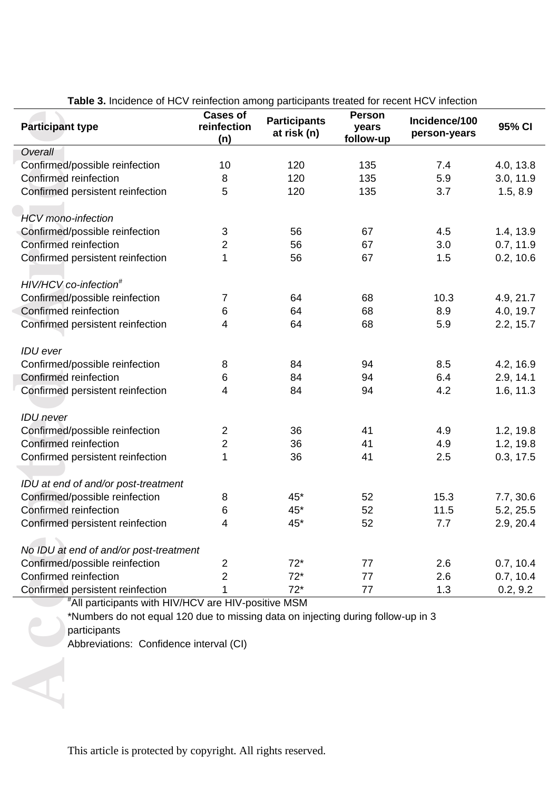| <b>Participant type</b>                                                                          | <b>Cases of</b><br>reinfection<br>(n) | <b>Participants</b><br>at risk (n) | <b>Person</b><br>years<br>follow-up | Incidence/100<br>person-years | 95% CI    |
|--------------------------------------------------------------------------------------------------|---------------------------------------|------------------------------------|-------------------------------------|-------------------------------|-----------|
| Overall                                                                                          |                                       |                                    |                                     |                               |           |
| Confirmed/possible reinfection                                                                   | 10                                    | 120                                | 135                                 | 7.4                           | 4.0, 13.8 |
| Confirmed reinfection                                                                            | 8                                     | 120                                | 135                                 | 5.9                           | 3.0, 11.9 |
| Confirmed persistent reinfection                                                                 | 5                                     | 120                                | 135                                 | 3.7                           | 1.5, 8.9  |
|                                                                                                  |                                       |                                    |                                     |                               |           |
| <b>HCV</b> mono-infection                                                                        |                                       |                                    |                                     |                               |           |
| Confirmed/possible reinfection                                                                   | $\ensuremath{\mathsf{3}}$             | 56                                 | 67                                  | 4.5                           | 1.4, 13.9 |
| Confirmed reinfection                                                                            | $\overline{2}$                        | 56                                 | 67                                  | 3.0                           | 0.7, 11.9 |
| Confirmed persistent reinfection                                                                 | 1                                     | 56                                 | 67                                  | 1.5                           | 0.2, 10.6 |
|                                                                                                  |                                       |                                    |                                     |                               |           |
| HIV/HCV co-infection <sup>#</sup>                                                                |                                       |                                    |                                     |                               |           |
| Confirmed/possible reinfection                                                                   | $\overline{7}$                        | 64                                 | 68                                  | 10.3                          | 4.9, 21.7 |
| Confirmed reinfection                                                                            | $\,6$                                 | 64                                 | 68                                  | 8.9                           | 4.0, 19.7 |
| Confirmed persistent reinfection                                                                 | 4                                     | 64                                 | 68                                  | 5.9                           | 2.2, 15.7 |
|                                                                                                  |                                       |                                    |                                     |                               |           |
| <b>IDU</b> ever                                                                                  |                                       |                                    |                                     |                               |           |
| Confirmed/possible reinfection                                                                   | 8                                     | 84                                 | 94                                  | 8.5                           | 4.2, 16.9 |
| Confirmed reinfection                                                                            | 6                                     | 84                                 | 94                                  | 6.4                           | 2.9, 14.1 |
| Confirmed persistent reinfection                                                                 | 4                                     | 84                                 | 94                                  | 4.2                           | 1.6, 11.3 |
|                                                                                                  |                                       |                                    |                                     |                               |           |
| <b>IDU</b> never                                                                                 |                                       |                                    |                                     |                               |           |
| Confirmed/possible reinfection                                                                   | $\overline{2}$                        | 36                                 | 41                                  | 4.9                           | 1.2, 19.8 |
| Confirmed reinfection                                                                            | $\overline{2}$                        | 36                                 | 41                                  | 4.9                           | 1.2, 19.8 |
| Confirmed persistent reinfection                                                                 | 1                                     | 36                                 | 41                                  | 2.5                           | 0.3, 17.5 |
|                                                                                                  |                                       |                                    |                                     |                               |           |
| IDU at end of and/or post-treatment                                                              |                                       |                                    |                                     |                               |           |
| Confirmed/possible reinfection                                                                   | 8                                     | 45*                                | 52                                  | 15.3                          | 7.7, 30.6 |
| Confirmed reinfection                                                                            | $\,6$                                 | $45*$                              | 52                                  | 11.5                          | 5.2, 25.5 |
| Confirmed persistent reinfection                                                                 | 4                                     | 45*                                | 52                                  | 7.7                           | 2.9, 20.4 |
|                                                                                                  |                                       |                                    |                                     |                               |           |
| No IDU at end of and/or post-treatment                                                           |                                       |                                    |                                     |                               |           |
| Confirmed/possible reinfection                                                                   | $\overline{2}$                        | $72*$                              | 77                                  | 2.6                           | 0.7, 10.4 |
| Confirmed reinfection                                                                            | $\overline{2}$<br>1                   | $72*$<br>$72*$                     | 77<br>77                            | 2.6<br>1.3                    | 0.7, 10.4 |
| Confirmed persistent reinfection<br>"All participants with HIV/HCV are HIV-positive MSM          |                                       |                                    |                                     |                               | 0.2, 9.2  |
| *Numbers do not equal 120 due to missing data on injecting during follow-up in 3<br>participants |                                       |                                    |                                     |                               |           |
| Abbreviations: Confidence interval (CI)                                                          |                                       |                                    |                                     |                               |           |
|                                                                                                  |                                       |                                    |                                     |                               |           |
|                                                                                                  |                                       |                                    |                                     |                               |           |
|                                                                                                  |                                       |                                    |                                     |                               |           |
|                                                                                                  |                                       |                                    |                                     |                               |           |

**Table 3.** Incidence of HCV reinfection among participants treated for recent HCV infection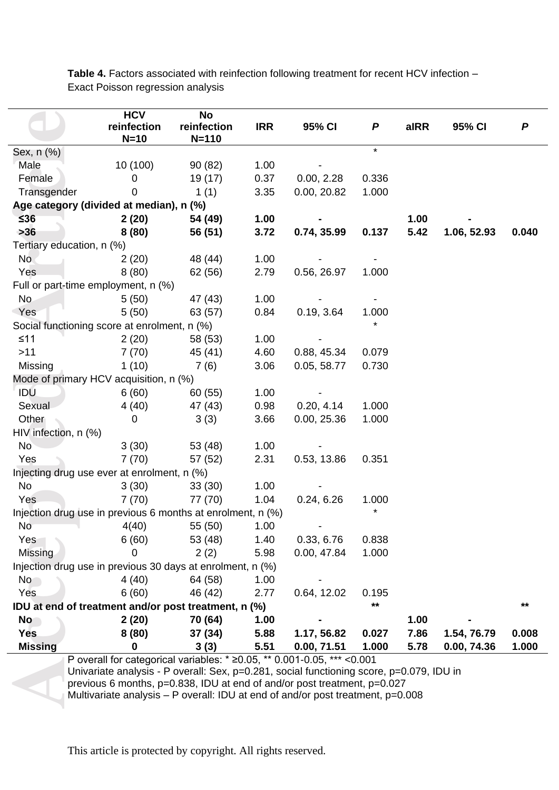Table 4. Factors associated with reinfection following treatment for recent HCV infection -Exact Poisson regression analysis

| reinfection<br>reinfection<br><b>IRR</b><br>95% CI<br>aIRR<br>95% CI<br>P<br>P<br>$N=10$<br>$N = 110$<br>$\star$<br>Sex, n (%)<br>10 (100)<br>Male<br>1.00<br>90(82)<br>Female<br>19 (17)<br>0.37<br>0.336<br>$\mathbf 0$<br>0.00, 2.28<br>0.00, 20.82<br>1.000<br>Transgender<br>1(1)<br>3.35<br>0<br>Age category (divided at median), n (%)<br>$≤36$<br>2(20)<br>1.00<br>1.00<br>54 (49)<br>$>36$<br>3.72<br>0.137<br>5.42<br>8(80)<br>0.74, 35.99<br>0.040<br>56 (51)<br>1.06, 52.93<br>Tertiary education, n (%)<br><b>No</b><br>1.00<br>2(20)<br>48 (44)<br>Yes<br>8(80)<br>62 (56)<br>2.79<br>0.56, 26.97<br>1.000<br>Full or part-time employment, n (%)<br>No.<br>47 (43)<br>1.00<br>5(50)<br>5(50)<br>Yes<br>63 (57)<br>0.84<br>0.19, 3.64<br>1.000<br>Social functioning score at enrolment, n (%)<br>$≤11$<br>1.00<br>2(20)<br>58 (53)<br>$>11$<br>7(70)<br>45 (41)<br>4.60<br>0.88, 45.34<br>0.079<br>Missing<br>1(10)<br>7(6)<br>3.06<br>0.05, 58.77<br>0.730<br>Mode of primary HCV acquisition, n (%)<br>IDU<br>6(60)<br>1.00<br>60 (55)<br>4(40)<br>Sexual<br>47 (43)<br>0.98<br>0.20, 4.14<br>1.000<br>Other<br>0.00, 25.36<br>3(3)<br>3.66<br>1.000<br>$\mathbf 0$<br>HIV infection, n (%)<br><b>No</b><br>3(30)<br>53 (48)<br>1.00<br>Yes<br>7(70)<br>57 (52)<br>2.31<br>0.53, 13.86<br>0.351<br>Injecting drug use ever at enrolment, n (%)<br>No<br>3(30)<br>1.00<br>33(30)<br>1.04<br>Yes<br>7(70)<br>77 (70)<br>0.24, 6.26<br>1.000<br>$^\star$<br>Injection drug use in previous 6 months at enrolment, n (%)<br>$No$ $4(40)$<br>55 (50)<br>1.00<br>6(60)<br>53 (48)<br>0.33, 6.76<br>1.40<br>0.838<br>Yes<br>Missing<br>2(2)<br>5.98<br>0.00, 47.84<br>1.000<br>0<br>Injection drug use in previous 30 days at enrolment, n (%)<br><b>No</b><br>4 (40)<br>64 (58)<br>1.00<br>6(60)<br>46 (42)<br>2.77<br>0.64, 12.02<br>Yes<br>0.195<br>$***$<br>**<br>IDU at end of treatment and/or post treatment, n (%)<br>2(20)<br>70 (64)<br>1.00<br>1.00<br><b>No</b><br><b>Yes</b><br>8(80)<br>37 (34)<br>5.88<br>7.86<br>0.008<br>1.17, 56.82<br>0.027<br>1.54, 76.79<br><b>Missing</b><br>5.51<br>1.000<br>5.78<br>0.00, 74.36<br>1.000<br>0<br>3(3)<br>0.00, 71.51<br>P overall for categorical variables: $*$ ≥0.05, $**$ 0.001-0.05, *** <0.001<br>Univariate analysis - P overall: Sex, p=0.281, social functioning score, p=0.079, IDU in<br>previous 6 months, p=0.838, IDU at end of and/or post treatment, p=0.027<br>Multivariate analysis - P overall: IDU at end of and/or post treatment, p=0.008 |  | <b>HCV</b> | No |  |  |  |  |  |  |
|-----------------------------------------------------------------------------------------------------------------------------------------------------------------------------------------------------------------------------------------------------------------------------------------------------------------------------------------------------------------------------------------------------------------------------------------------------------------------------------------------------------------------------------------------------------------------------------------------------------------------------------------------------------------------------------------------------------------------------------------------------------------------------------------------------------------------------------------------------------------------------------------------------------------------------------------------------------------------------------------------------------------------------------------------------------------------------------------------------------------------------------------------------------------------------------------------------------------------------------------------------------------------------------------------------------------------------------------------------------------------------------------------------------------------------------------------------------------------------------------------------------------------------------------------------------------------------------------------------------------------------------------------------------------------------------------------------------------------------------------------------------------------------------------------------------------------------------------------------------------------------------------------------------------------------------------------------------------------------------------------------------------------------------------------------------------------------------------------------------------------------------------------------------------------------------------------------------------------------------------------------------------------------------------------------------------------------------------------------------------------------------------------------------------------------------------------------------------------------------------------------------------------------------|--|------------|----|--|--|--|--|--|--|
|                                                                                                                                                                                                                                                                                                                                                                                                                                                                                                                                                                                                                                                                                                                                                                                                                                                                                                                                                                                                                                                                                                                                                                                                                                                                                                                                                                                                                                                                                                                                                                                                                                                                                                                                                                                                                                                                                                                                                                                                                                                                                                                                                                                                                                                                                                                                                                                                                                                                                                                                   |  |            |    |  |  |  |  |  |  |
|                                                                                                                                                                                                                                                                                                                                                                                                                                                                                                                                                                                                                                                                                                                                                                                                                                                                                                                                                                                                                                                                                                                                                                                                                                                                                                                                                                                                                                                                                                                                                                                                                                                                                                                                                                                                                                                                                                                                                                                                                                                                                                                                                                                                                                                                                                                                                                                                                                                                                                                                   |  |            |    |  |  |  |  |  |  |
|                                                                                                                                                                                                                                                                                                                                                                                                                                                                                                                                                                                                                                                                                                                                                                                                                                                                                                                                                                                                                                                                                                                                                                                                                                                                                                                                                                                                                                                                                                                                                                                                                                                                                                                                                                                                                                                                                                                                                                                                                                                                                                                                                                                                                                                                                                                                                                                                                                                                                                                                   |  |            |    |  |  |  |  |  |  |
|                                                                                                                                                                                                                                                                                                                                                                                                                                                                                                                                                                                                                                                                                                                                                                                                                                                                                                                                                                                                                                                                                                                                                                                                                                                                                                                                                                                                                                                                                                                                                                                                                                                                                                                                                                                                                                                                                                                                                                                                                                                                                                                                                                                                                                                                                                                                                                                                                                                                                                                                   |  |            |    |  |  |  |  |  |  |
|                                                                                                                                                                                                                                                                                                                                                                                                                                                                                                                                                                                                                                                                                                                                                                                                                                                                                                                                                                                                                                                                                                                                                                                                                                                                                                                                                                                                                                                                                                                                                                                                                                                                                                                                                                                                                                                                                                                                                                                                                                                                                                                                                                                                                                                                                                                                                                                                                                                                                                                                   |  |            |    |  |  |  |  |  |  |
|                                                                                                                                                                                                                                                                                                                                                                                                                                                                                                                                                                                                                                                                                                                                                                                                                                                                                                                                                                                                                                                                                                                                                                                                                                                                                                                                                                                                                                                                                                                                                                                                                                                                                                                                                                                                                                                                                                                                                                                                                                                                                                                                                                                                                                                                                                                                                                                                                                                                                                                                   |  |            |    |  |  |  |  |  |  |
|                                                                                                                                                                                                                                                                                                                                                                                                                                                                                                                                                                                                                                                                                                                                                                                                                                                                                                                                                                                                                                                                                                                                                                                                                                                                                                                                                                                                                                                                                                                                                                                                                                                                                                                                                                                                                                                                                                                                                                                                                                                                                                                                                                                                                                                                                                                                                                                                                                                                                                                                   |  |            |    |  |  |  |  |  |  |
|                                                                                                                                                                                                                                                                                                                                                                                                                                                                                                                                                                                                                                                                                                                                                                                                                                                                                                                                                                                                                                                                                                                                                                                                                                                                                                                                                                                                                                                                                                                                                                                                                                                                                                                                                                                                                                                                                                                                                                                                                                                                                                                                                                                                                                                                                                                                                                                                                                                                                                                                   |  |            |    |  |  |  |  |  |  |
|                                                                                                                                                                                                                                                                                                                                                                                                                                                                                                                                                                                                                                                                                                                                                                                                                                                                                                                                                                                                                                                                                                                                                                                                                                                                                                                                                                                                                                                                                                                                                                                                                                                                                                                                                                                                                                                                                                                                                                                                                                                                                                                                                                                                                                                                                                                                                                                                                                                                                                                                   |  |            |    |  |  |  |  |  |  |
|                                                                                                                                                                                                                                                                                                                                                                                                                                                                                                                                                                                                                                                                                                                                                                                                                                                                                                                                                                                                                                                                                                                                                                                                                                                                                                                                                                                                                                                                                                                                                                                                                                                                                                                                                                                                                                                                                                                                                                                                                                                                                                                                                                                                                                                                                                                                                                                                                                                                                                                                   |  |            |    |  |  |  |  |  |  |
|                                                                                                                                                                                                                                                                                                                                                                                                                                                                                                                                                                                                                                                                                                                                                                                                                                                                                                                                                                                                                                                                                                                                                                                                                                                                                                                                                                                                                                                                                                                                                                                                                                                                                                                                                                                                                                                                                                                                                                                                                                                                                                                                                                                                                                                                                                                                                                                                                                                                                                                                   |  |            |    |  |  |  |  |  |  |
|                                                                                                                                                                                                                                                                                                                                                                                                                                                                                                                                                                                                                                                                                                                                                                                                                                                                                                                                                                                                                                                                                                                                                                                                                                                                                                                                                                                                                                                                                                                                                                                                                                                                                                                                                                                                                                                                                                                                                                                                                                                                                                                                                                                                                                                                                                                                                                                                                                                                                                                                   |  |            |    |  |  |  |  |  |  |
|                                                                                                                                                                                                                                                                                                                                                                                                                                                                                                                                                                                                                                                                                                                                                                                                                                                                                                                                                                                                                                                                                                                                                                                                                                                                                                                                                                                                                                                                                                                                                                                                                                                                                                                                                                                                                                                                                                                                                                                                                                                                                                                                                                                                                                                                                                                                                                                                                                                                                                                                   |  |            |    |  |  |  |  |  |  |
|                                                                                                                                                                                                                                                                                                                                                                                                                                                                                                                                                                                                                                                                                                                                                                                                                                                                                                                                                                                                                                                                                                                                                                                                                                                                                                                                                                                                                                                                                                                                                                                                                                                                                                                                                                                                                                                                                                                                                                                                                                                                                                                                                                                                                                                                                                                                                                                                                                                                                                                                   |  |            |    |  |  |  |  |  |  |
|                                                                                                                                                                                                                                                                                                                                                                                                                                                                                                                                                                                                                                                                                                                                                                                                                                                                                                                                                                                                                                                                                                                                                                                                                                                                                                                                                                                                                                                                                                                                                                                                                                                                                                                                                                                                                                                                                                                                                                                                                                                                                                                                                                                                                                                                                                                                                                                                                                                                                                                                   |  |            |    |  |  |  |  |  |  |
|                                                                                                                                                                                                                                                                                                                                                                                                                                                                                                                                                                                                                                                                                                                                                                                                                                                                                                                                                                                                                                                                                                                                                                                                                                                                                                                                                                                                                                                                                                                                                                                                                                                                                                                                                                                                                                                                                                                                                                                                                                                                                                                                                                                                                                                                                                                                                                                                                                                                                                                                   |  |            |    |  |  |  |  |  |  |
|                                                                                                                                                                                                                                                                                                                                                                                                                                                                                                                                                                                                                                                                                                                                                                                                                                                                                                                                                                                                                                                                                                                                                                                                                                                                                                                                                                                                                                                                                                                                                                                                                                                                                                                                                                                                                                                                                                                                                                                                                                                                                                                                                                                                                                                                                                                                                                                                                                                                                                                                   |  |            |    |  |  |  |  |  |  |
|                                                                                                                                                                                                                                                                                                                                                                                                                                                                                                                                                                                                                                                                                                                                                                                                                                                                                                                                                                                                                                                                                                                                                                                                                                                                                                                                                                                                                                                                                                                                                                                                                                                                                                                                                                                                                                                                                                                                                                                                                                                                                                                                                                                                                                                                                                                                                                                                                                                                                                                                   |  |            |    |  |  |  |  |  |  |
|                                                                                                                                                                                                                                                                                                                                                                                                                                                                                                                                                                                                                                                                                                                                                                                                                                                                                                                                                                                                                                                                                                                                                                                                                                                                                                                                                                                                                                                                                                                                                                                                                                                                                                                                                                                                                                                                                                                                                                                                                                                                                                                                                                                                                                                                                                                                                                                                                                                                                                                                   |  |            |    |  |  |  |  |  |  |
|                                                                                                                                                                                                                                                                                                                                                                                                                                                                                                                                                                                                                                                                                                                                                                                                                                                                                                                                                                                                                                                                                                                                                                                                                                                                                                                                                                                                                                                                                                                                                                                                                                                                                                                                                                                                                                                                                                                                                                                                                                                                                                                                                                                                                                                                                                                                                                                                                                                                                                                                   |  |            |    |  |  |  |  |  |  |
|                                                                                                                                                                                                                                                                                                                                                                                                                                                                                                                                                                                                                                                                                                                                                                                                                                                                                                                                                                                                                                                                                                                                                                                                                                                                                                                                                                                                                                                                                                                                                                                                                                                                                                                                                                                                                                                                                                                                                                                                                                                                                                                                                                                                                                                                                                                                                                                                                                                                                                                                   |  |            |    |  |  |  |  |  |  |
|                                                                                                                                                                                                                                                                                                                                                                                                                                                                                                                                                                                                                                                                                                                                                                                                                                                                                                                                                                                                                                                                                                                                                                                                                                                                                                                                                                                                                                                                                                                                                                                                                                                                                                                                                                                                                                                                                                                                                                                                                                                                                                                                                                                                                                                                                                                                                                                                                                                                                                                                   |  |            |    |  |  |  |  |  |  |
|                                                                                                                                                                                                                                                                                                                                                                                                                                                                                                                                                                                                                                                                                                                                                                                                                                                                                                                                                                                                                                                                                                                                                                                                                                                                                                                                                                                                                                                                                                                                                                                                                                                                                                                                                                                                                                                                                                                                                                                                                                                                                                                                                                                                                                                                                                                                                                                                                                                                                                                                   |  |            |    |  |  |  |  |  |  |
|                                                                                                                                                                                                                                                                                                                                                                                                                                                                                                                                                                                                                                                                                                                                                                                                                                                                                                                                                                                                                                                                                                                                                                                                                                                                                                                                                                                                                                                                                                                                                                                                                                                                                                                                                                                                                                                                                                                                                                                                                                                                                                                                                                                                                                                                                                                                                                                                                                                                                                                                   |  |            |    |  |  |  |  |  |  |
|                                                                                                                                                                                                                                                                                                                                                                                                                                                                                                                                                                                                                                                                                                                                                                                                                                                                                                                                                                                                                                                                                                                                                                                                                                                                                                                                                                                                                                                                                                                                                                                                                                                                                                                                                                                                                                                                                                                                                                                                                                                                                                                                                                                                                                                                                                                                                                                                                                                                                                                                   |  |            |    |  |  |  |  |  |  |
|                                                                                                                                                                                                                                                                                                                                                                                                                                                                                                                                                                                                                                                                                                                                                                                                                                                                                                                                                                                                                                                                                                                                                                                                                                                                                                                                                                                                                                                                                                                                                                                                                                                                                                                                                                                                                                                                                                                                                                                                                                                                                                                                                                                                                                                                                                                                                                                                                                                                                                                                   |  |            |    |  |  |  |  |  |  |
|                                                                                                                                                                                                                                                                                                                                                                                                                                                                                                                                                                                                                                                                                                                                                                                                                                                                                                                                                                                                                                                                                                                                                                                                                                                                                                                                                                                                                                                                                                                                                                                                                                                                                                                                                                                                                                                                                                                                                                                                                                                                                                                                                                                                                                                                                                                                                                                                                                                                                                                                   |  |            |    |  |  |  |  |  |  |
|                                                                                                                                                                                                                                                                                                                                                                                                                                                                                                                                                                                                                                                                                                                                                                                                                                                                                                                                                                                                                                                                                                                                                                                                                                                                                                                                                                                                                                                                                                                                                                                                                                                                                                                                                                                                                                                                                                                                                                                                                                                                                                                                                                                                                                                                                                                                                                                                                                                                                                                                   |  |            |    |  |  |  |  |  |  |
|                                                                                                                                                                                                                                                                                                                                                                                                                                                                                                                                                                                                                                                                                                                                                                                                                                                                                                                                                                                                                                                                                                                                                                                                                                                                                                                                                                                                                                                                                                                                                                                                                                                                                                                                                                                                                                                                                                                                                                                                                                                                                                                                                                                                                                                                                                                                                                                                                                                                                                                                   |  |            |    |  |  |  |  |  |  |
|                                                                                                                                                                                                                                                                                                                                                                                                                                                                                                                                                                                                                                                                                                                                                                                                                                                                                                                                                                                                                                                                                                                                                                                                                                                                                                                                                                                                                                                                                                                                                                                                                                                                                                                                                                                                                                                                                                                                                                                                                                                                                                                                                                                                                                                                                                                                                                                                                                                                                                                                   |  |            |    |  |  |  |  |  |  |
|                                                                                                                                                                                                                                                                                                                                                                                                                                                                                                                                                                                                                                                                                                                                                                                                                                                                                                                                                                                                                                                                                                                                                                                                                                                                                                                                                                                                                                                                                                                                                                                                                                                                                                                                                                                                                                                                                                                                                                                                                                                                                                                                                                                                                                                                                                                                                                                                                                                                                                                                   |  |            |    |  |  |  |  |  |  |
|                                                                                                                                                                                                                                                                                                                                                                                                                                                                                                                                                                                                                                                                                                                                                                                                                                                                                                                                                                                                                                                                                                                                                                                                                                                                                                                                                                                                                                                                                                                                                                                                                                                                                                                                                                                                                                                                                                                                                                                                                                                                                                                                                                                                                                                                                                                                                                                                                                                                                                                                   |  |            |    |  |  |  |  |  |  |
|                                                                                                                                                                                                                                                                                                                                                                                                                                                                                                                                                                                                                                                                                                                                                                                                                                                                                                                                                                                                                                                                                                                                                                                                                                                                                                                                                                                                                                                                                                                                                                                                                                                                                                                                                                                                                                                                                                                                                                                                                                                                                                                                                                                                                                                                                                                                                                                                                                                                                                                                   |  |            |    |  |  |  |  |  |  |
|                                                                                                                                                                                                                                                                                                                                                                                                                                                                                                                                                                                                                                                                                                                                                                                                                                                                                                                                                                                                                                                                                                                                                                                                                                                                                                                                                                                                                                                                                                                                                                                                                                                                                                                                                                                                                                                                                                                                                                                                                                                                                                                                                                                                                                                                                                                                                                                                                                                                                                                                   |  |            |    |  |  |  |  |  |  |
|                                                                                                                                                                                                                                                                                                                                                                                                                                                                                                                                                                                                                                                                                                                                                                                                                                                                                                                                                                                                                                                                                                                                                                                                                                                                                                                                                                                                                                                                                                                                                                                                                                                                                                                                                                                                                                                                                                                                                                                                                                                                                                                                                                                                                                                                                                                                                                                                                                                                                                                                   |  |            |    |  |  |  |  |  |  |
|                                                                                                                                                                                                                                                                                                                                                                                                                                                                                                                                                                                                                                                                                                                                                                                                                                                                                                                                                                                                                                                                                                                                                                                                                                                                                                                                                                                                                                                                                                                                                                                                                                                                                                                                                                                                                                                                                                                                                                                                                                                                                                                                                                                                                                                                                                                                                                                                                                                                                                                                   |  |            |    |  |  |  |  |  |  |
|                                                                                                                                                                                                                                                                                                                                                                                                                                                                                                                                                                                                                                                                                                                                                                                                                                                                                                                                                                                                                                                                                                                                                                                                                                                                                                                                                                                                                                                                                                                                                                                                                                                                                                                                                                                                                                                                                                                                                                                                                                                                                                                                                                                                                                                                                                                                                                                                                                                                                                                                   |  |            |    |  |  |  |  |  |  |
|                                                                                                                                                                                                                                                                                                                                                                                                                                                                                                                                                                                                                                                                                                                                                                                                                                                                                                                                                                                                                                                                                                                                                                                                                                                                                                                                                                                                                                                                                                                                                                                                                                                                                                                                                                                                                                                                                                                                                                                                                                                                                                                                                                                                                                                                                                                                                                                                                                                                                                                                   |  |            |    |  |  |  |  |  |  |
|                                                                                                                                                                                                                                                                                                                                                                                                                                                                                                                                                                                                                                                                                                                                                                                                                                                                                                                                                                                                                                                                                                                                                                                                                                                                                                                                                                                                                                                                                                                                                                                                                                                                                                                                                                                                                                                                                                                                                                                                                                                                                                                                                                                                                                                                                                                                                                                                                                                                                                                                   |  |            |    |  |  |  |  |  |  |
|                                                                                                                                                                                                                                                                                                                                                                                                                                                                                                                                                                                                                                                                                                                                                                                                                                                                                                                                                                                                                                                                                                                                                                                                                                                                                                                                                                                                                                                                                                                                                                                                                                                                                                                                                                                                                                                                                                                                                                                                                                                                                                                                                                                                                                                                                                                                                                                                                                                                                                                                   |  |            |    |  |  |  |  |  |  |
|                                                                                                                                                                                                                                                                                                                                                                                                                                                                                                                                                                                                                                                                                                                                                                                                                                                                                                                                                                                                                                                                                                                                                                                                                                                                                                                                                                                                                                                                                                                                                                                                                                                                                                                                                                                                                                                                                                                                                                                                                                                                                                                                                                                                                                                                                                                                                                                                                                                                                                                                   |  |            |    |  |  |  |  |  |  |
|                                                                                                                                                                                                                                                                                                                                                                                                                                                                                                                                                                                                                                                                                                                                                                                                                                                                                                                                                                                                                                                                                                                                                                                                                                                                                                                                                                                                                                                                                                                                                                                                                                                                                                                                                                                                                                                                                                                                                                                                                                                                                                                                                                                                                                                                                                                                                                                                                                                                                                                                   |  |            |    |  |  |  |  |  |  |
|                                                                                                                                                                                                                                                                                                                                                                                                                                                                                                                                                                                                                                                                                                                                                                                                                                                                                                                                                                                                                                                                                                                                                                                                                                                                                                                                                                                                                                                                                                                                                                                                                                                                                                                                                                                                                                                                                                                                                                                                                                                                                                                                                                                                                                                                                                                                                                                                                                                                                                                                   |  |            |    |  |  |  |  |  |  |
|                                                                                                                                                                                                                                                                                                                                                                                                                                                                                                                                                                                                                                                                                                                                                                                                                                                                                                                                                                                                                                                                                                                                                                                                                                                                                                                                                                                                                                                                                                                                                                                                                                                                                                                                                                                                                                                                                                                                                                                                                                                                                                                                                                                                                                                                                                                                                                                                                                                                                                                                   |  |            |    |  |  |  |  |  |  |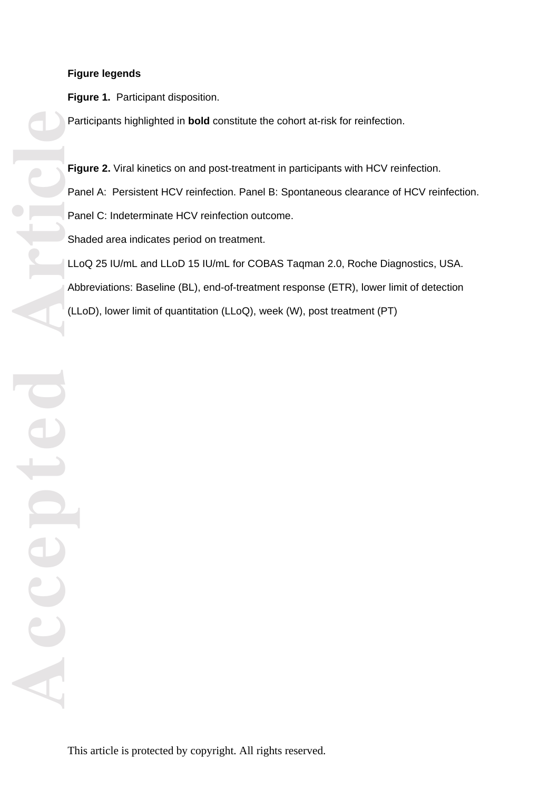# **Figure legends**

**Figure 1.** Participant disposition.

Participants highlighted in **bold** constitute the cohort at-risk for reinfection.

Figure 2. Viral kinetics on and post-treatment in participants with HCV reinfection. Panel A: Persistent HCV reinfection. Panel B: Spontaneous clearance of HCV reinfection. Panel C: Indeterminate HCV reinfection outcome. Shaded area indicates period on treatment. LLoQ 25 IU/mL and LLoD 15 IU/mL for COBAS Taqman 2.0, Roche Diagnostics, USA. Abbreviations: Baseline (BL), end-of-treatment response (ETR), lower limit of detection (LLoD), lower limit of quantitation (LLoQ), week (W), post treatment (PT)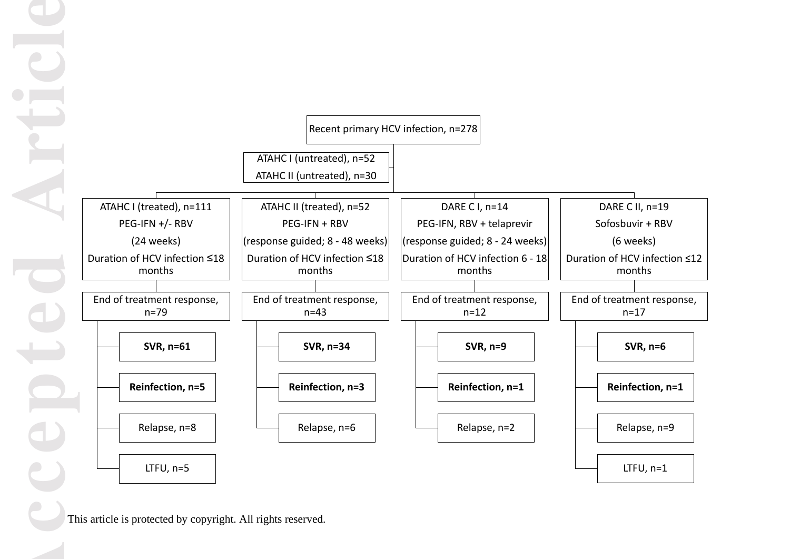

This article is protected by copyright. All rights reserved.

**Accepted Article**